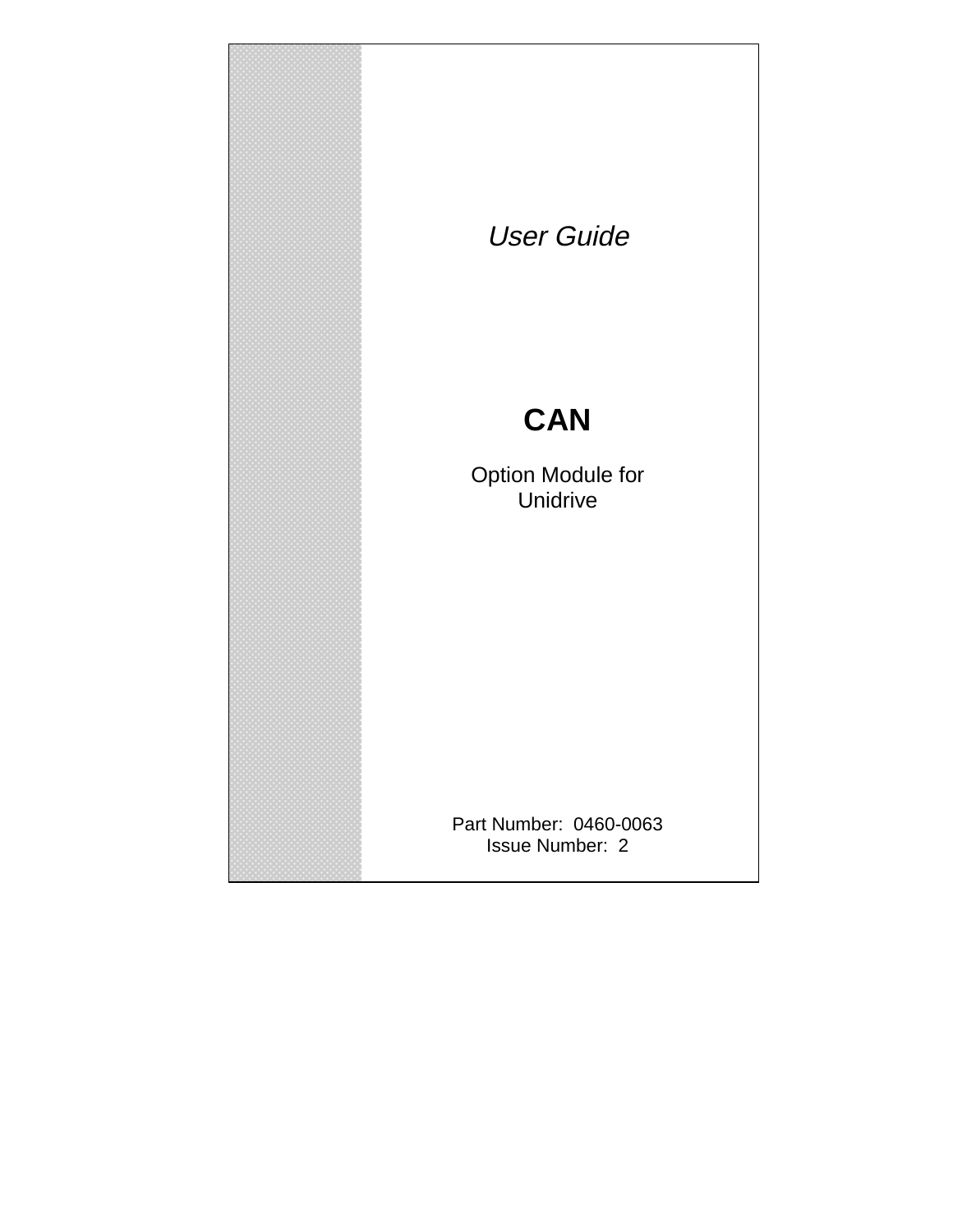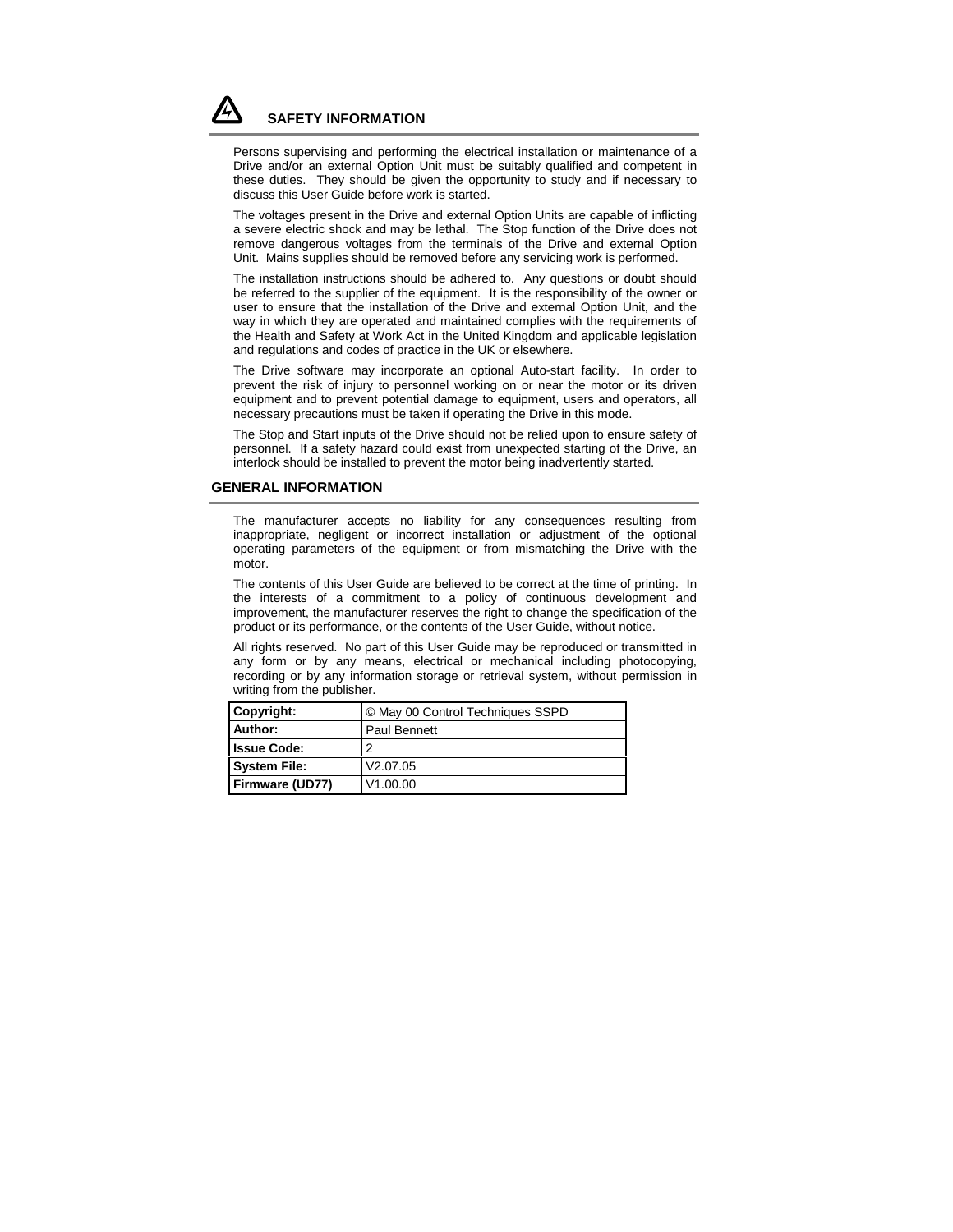# **SAFETY INFORMATION**

Persons supervising and performing the electrical installation or maintenance of a Drive and/or an external Option Unit must be suitably qualified and competent in these duties. They should be given the opportunity to study and if necessary to discuss this User Guide before work is started.

The voltages present in the Drive and external Option Units are capable of inflicting a severe electric shock and may be lethal. The Stop function of the Drive does not remove dangerous voltages from the terminals of the Drive and external Option Unit. Mains supplies should be removed before any servicing work is performed.

The installation instructions should be adhered to. Any questions or doubt should be referred to the supplier of the equipment. It is the responsibility of the owner or user to ensure that the installation of the Drive and external Option Unit, and the way in which they are operated and maintained complies with the requirements of the Health and Safety at Work Act in the United Kingdom and applicable legislation and regulations and codes of practice in the UK or elsewhere.

The Drive software may incorporate an optional Auto-start facility. In order to prevent the risk of injury to personnel working on or near the motor or its driven equipment and to prevent potential damage to equipment, users and operators, all necessary precautions must be taken if operating the Drive in this mode.

The Stop and Start inputs of the Drive should not be relied upon to ensure safety of personnel. If a safety hazard could exist from unexpected starting of the Drive, an interlock should be installed to prevent the motor being inadvertently started.

### **GENERAL INFORMATION**

The manufacturer accepts no liability for any consequences resulting from inappropriate, negligent or incorrect installation or adjustment of the optional operating parameters of the equipment or from mismatching the Drive with the motor.

The contents of this User Guide are believed to be correct at the time of printing. In the interests of a commitment to a policy of continuous development and improvement, the manufacturer reserves the right to change the specification of the product or its performance, or the contents of the User Guide, without notice.

All rights reserved. No part of this User Guide may be reproduced or transmitted in any form or by any means, electrical or mechanical including photocopying, recording or by any information storage or retrieval system, without permission in writing from the publisher.

| Copyright:          | © May 00 Control Techniques SSPD |
|---------------------|----------------------------------|
| Author:             | <b>Paul Bennett</b>              |
| <b>Issue Code:</b>  |                                  |
| <b>System File:</b> | V <sub>2.07.05</sub>             |
| Firmware (UD77)     | V1.00.00                         |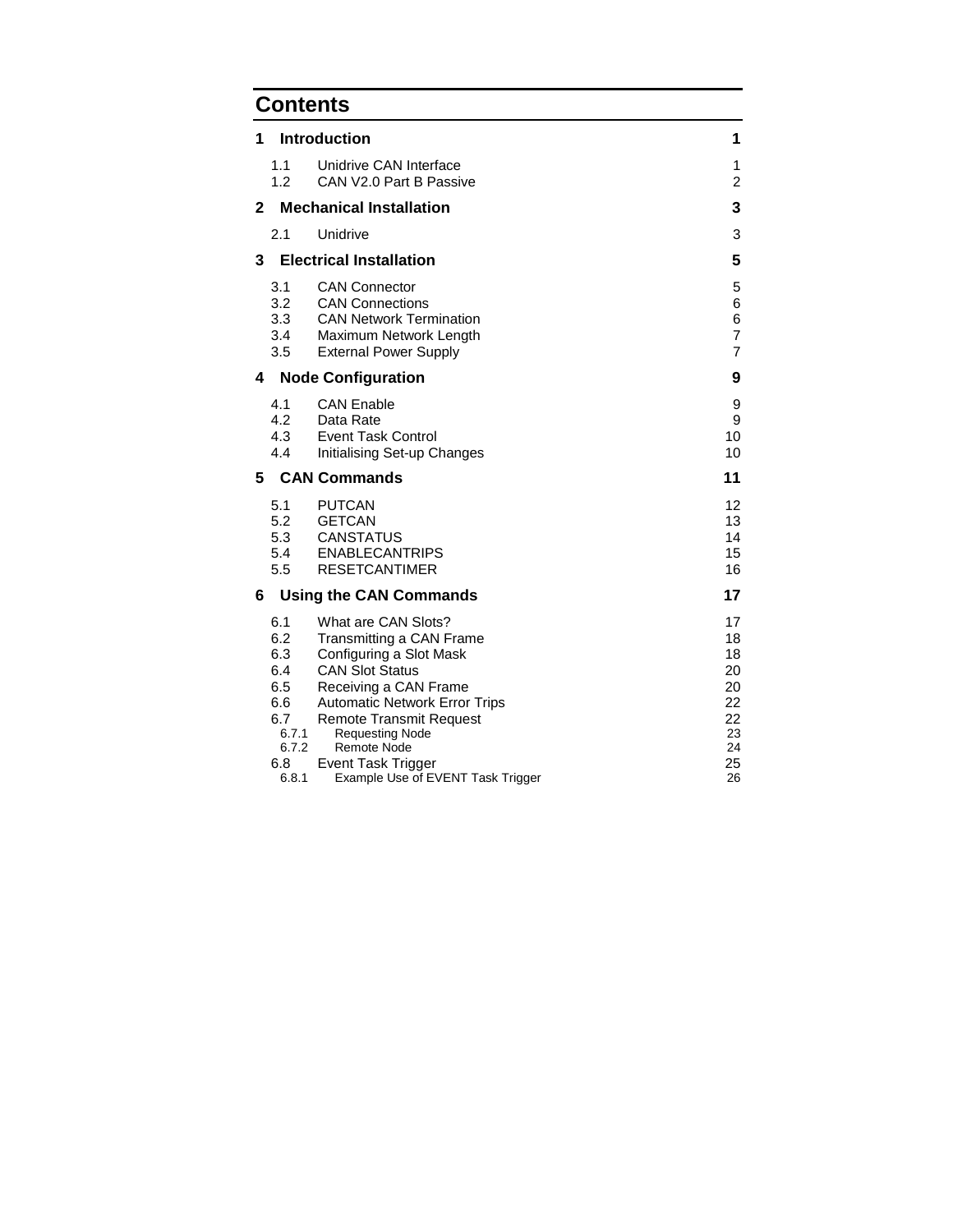# **Contents**

| 1 |                                                                                 | <b>Introduction</b>                                                                                                                                                                                                                                                                                                | 1                                                              |
|---|---------------------------------------------------------------------------------|--------------------------------------------------------------------------------------------------------------------------------------------------------------------------------------------------------------------------------------------------------------------------------------------------------------------|----------------------------------------------------------------|
|   | 1.1<br>1.2                                                                      | Unidrive CAN Interface<br>CAN V2.0 Part B Passive                                                                                                                                                                                                                                                                  | 1<br>$\overline{2}$                                            |
| 2 |                                                                                 | <b>Mechanical Installation</b>                                                                                                                                                                                                                                                                                     | 3                                                              |
|   | 2.1                                                                             | Unidrive                                                                                                                                                                                                                                                                                                           | 3                                                              |
| 3 |                                                                                 | <b>Electrical Installation</b>                                                                                                                                                                                                                                                                                     | 5                                                              |
|   | 3.1<br>3.2<br>3.3<br>3.4<br>3.5                                                 | <b>CAN Connector</b><br><b>CAN Connections</b><br><b>CAN Network Termination</b><br>Maximum Network Length<br><b>External Power Supply</b>                                                                                                                                                                         | 5<br>6<br>6<br>$\overline{7}$<br>$\overline{7}$                |
| 4 |                                                                                 | <b>Node Configuration</b>                                                                                                                                                                                                                                                                                          | 9                                                              |
|   | 4.1<br>4.2<br>4.3<br>4.4                                                        | <b>CAN Enable</b><br>Data Rate<br><b>Event Task Control</b><br>Initialising Set-up Changes                                                                                                                                                                                                                         | 9<br>9<br>10<br>10                                             |
| 5 |                                                                                 | <b>CAN Commands</b>                                                                                                                                                                                                                                                                                                | 11                                                             |
|   | 5.1<br>5.2<br>5.3<br>5.4<br>5.5                                                 | <b>PUTCAN</b><br><b>GETCAN</b><br><b>CANSTATUS</b><br><b>ENABLECANTRIPS</b><br><b>RESETCANTIMER</b>                                                                                                                                                                                                                | $12 \overline{ }$<br>13<br>14<br>15<br>16                      |
| 6 |                                                                                 | <b>Using the CAN Commands</b>                                                                                                                                                                                                                                                                                      | 17                                                             |
|   | 6.1<br>6.2<br>6.3<br>6.4<br>6.5<br>6.6<br>6.7<br>6.7.1<br>6.7.2<br>6.8<br>6.8.1 | What are CAN Slots?<br>Transmitting a CAN Frame<br>Configuring a Slot Mask<br><b>CAN Slot Status</b><br>Receiving a CAN Frame<br><b>Automatic Network Error Trips</b><br><b>Remote Transmit Request</b><br><b>Requesting Node</b><br><b>Remote Node</b><br>Event Task Trigger<br>Example Use of EVENT Task Trigger | 17<br>18<br>18<br>20<br>20<br>22<br>22<br>23<br>24<br>25<br>26 |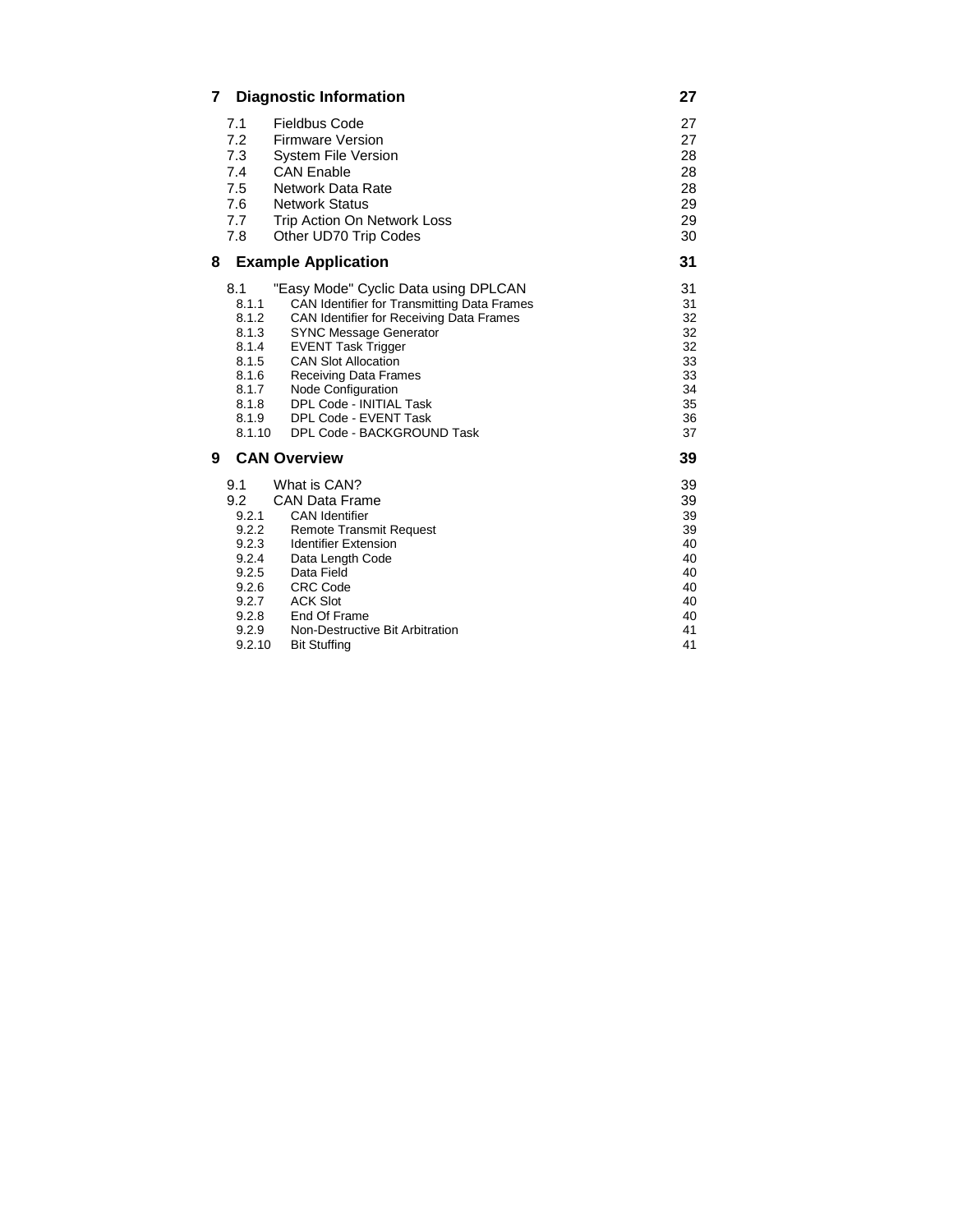| <b>Diagnostic Information</b><br>7                                                                                                                                                                                                                                                                                                                                                                                                                                           | 27                                                                   |
|------------------------------------------------------------------------------------------------------------------------------------------------------------------------------------------------------------------------------------------------------------------------------------------------------------------------------------------------------------------------------------------------------------------------------------------------------------------------------|----------------------------------------------------------------------|
| Fieldbus Code<br>7.1<br>7.2<br><b>Firmware Version</b><br>7.3<br><b>System File Version</b><br>7.4<br><b>CAN Enable</b><br>7.5<br>Network Data Rate<br>7.6<br><b>Network Status</b><br>7.7<br>Trip Action On Network Loss<br>7.8<br>Other UD70 Trip Codes                                                                                                                                                                                                                    | 27<br>27<br>28<br>28<br>28<br>29<br>29<br>30                         |
| 8<br><b>Example Application</b>                                                                                                                                                                                                                                                                                                                                                                                                                                              | 31                                                                   |
| "Easy Mode" Cyclic Data using DPLCAN<br>8.1<br>8.1.1<br>CAN Identifier for Transmitting Data Frames<br>8.1.2<br>CAN Identifier for Receiving Data Frames<br>8.1.3<br><b>SYNC Message Generator</b><br><b>EVENT Task Trigger</b><br>8.1.4<br>8.1.5<br><b>CAN Slot Allocation</b><br>8.1.6<br><b>Receiving Data Frames</b><br>8.1.7<br>Node Configuration<br><b>DPL Code - INITIAL Task</b><br>8.1.8<br>DPL Code - EVENT Task<br>8.1.9<br>DPL Code - BACKGROUND Task<br>8.1.10 | 31<br>31<br>32<br>32<br>32<br>33<br>33<br>34<br>35<br>36<br>37       |
| <b>CAN Overview</b><br>9                                                                                                                                                                                                                                                                                                                                                                                                                                                     | 39                                                                   |
| 9.1<br>What is CAN?<br>9.2<br><b>CAN Data Frame</b><br>9.2.1<br><b>CAN</b> Identifier<br>9.2.2<br><b>Remote Transmit Request</b><br>9.2.3<br><b>Identifier Extension</b><br>9.2.4<br>Data Length Code<br>9.2.5<br>Data Field<br><b>CRC Code</b><br>9.2.6<br>9.2.7 ACK Slot<br>End Of Frame<br>9.2.8<br>9.2.9<br>Non-Destructive Bit Arbitration<br>9.2.10<br><b>Bit Stuffing</b>                                                                                             | 39<br>39<br>39<br>39<br>40<br>40<br>40<br>40<br>40<br>40<br>41<br>41 |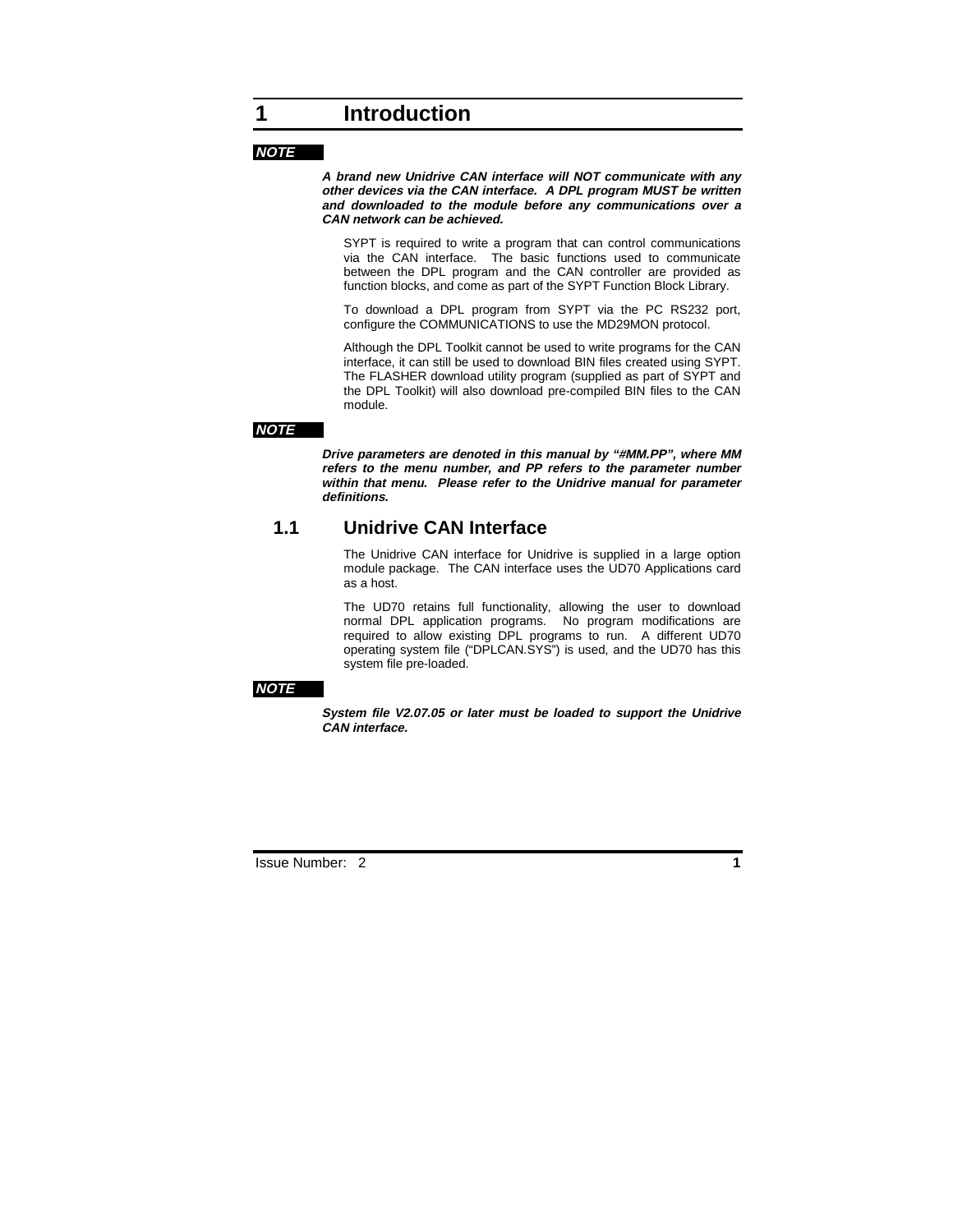## **1 Introduction**

### **NOTE**

**A brand new Unidrive CAN interface will NOT communicate with any other devices via the CAN interface. A DPL program MUST be written and downloaded to the module before any communications over a CAN network can be achieved.**

SYPT is required to write a program that can control communications via the CAN interface. The basic functions used to communicate between the DPL program and the CAN controller are provided as function blocks, and come as part of the SYPT Function Block Library.

To download a DPL program from SYPT via the PC RS232 port, configure the COMMUNICATIONS to use the MD29MON protocol.

Although the DPL Toolkit cannot be used to write programs for the CAN interface, it can still be used to download BIN files created using SYPT. The FLASHER download utility program (supplied as part of SYPT and the DPL Toolkit) will also download pre-compiled BIN files to the CAN module.

### **NOTE**

**Drive parameters are denoted in this manual by "#MM.PP", where MM refers to the menu number, and PP refers to the parameter number within that menu. Please refer to the Unidrive manual for parameter definitions.**

## **1.1 Unidrive CAN Interface**

The Unidrive CAN interface for Unidrive is supplied in a large option module package. The CAN interface uses the UD70 Applications card as a host.

The UD70 retains full functionality, allowing the user to download normal DPL application programs. No program modifications are required to allow existing DPL programs to run. A different UD70 operating system file ("DPLCAN.SYS") is used, and the UD70 has this system file pre-loaded.

### **NOTE**

**System file V2.07.05 or later must be loaded to support the Unidrive CAN interface.**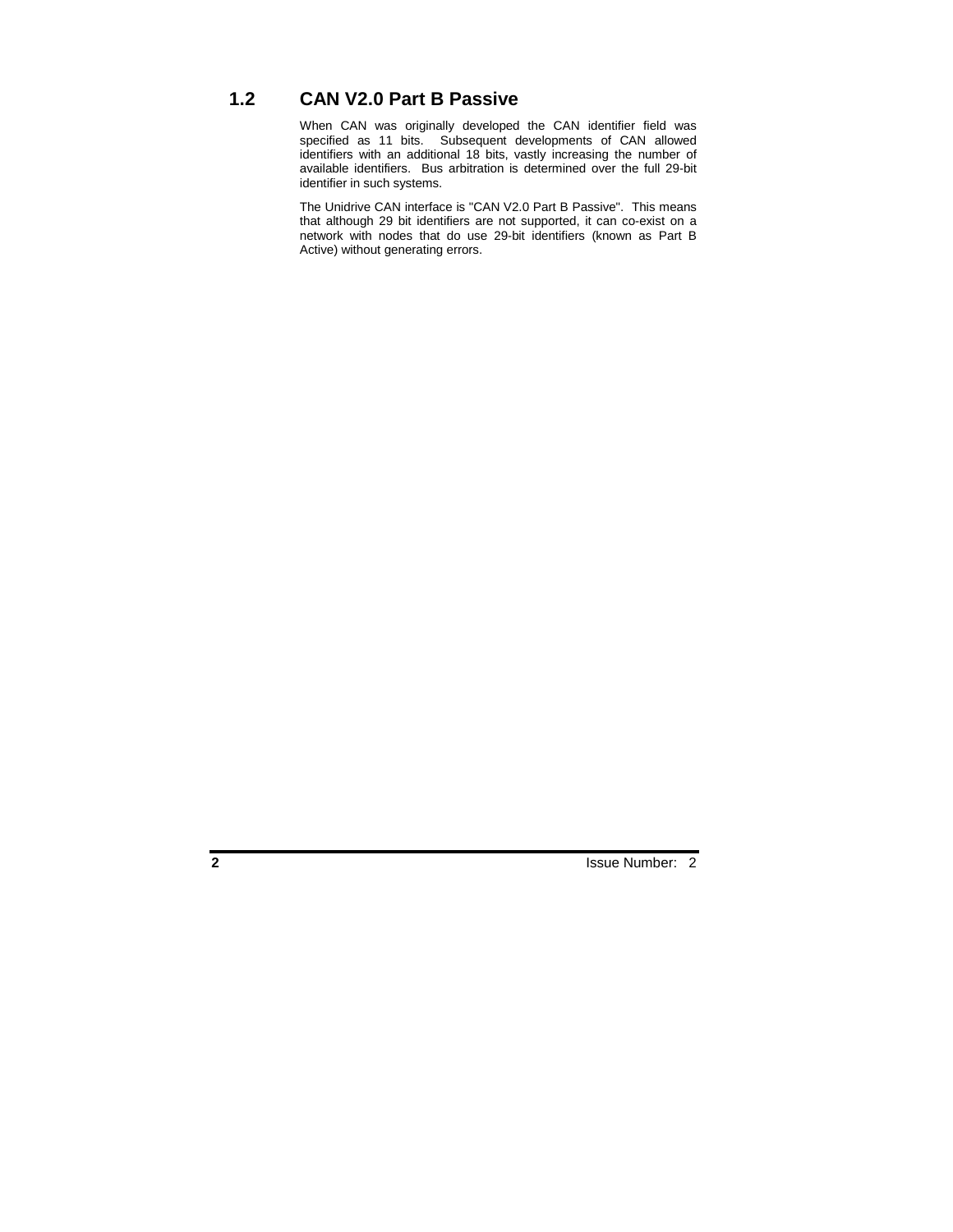## **1.2 CAN V2.0 Part B Passive**

When CAN was originally developed the CAN identifier field was specified as 11 bits. Subsequent developments of CAN allowed identifiers with an additional 18 bits, vastly increasing the number of available identifiers. Bus arbitration is determined over the full 29-bit identifier in such systems.

The Unidrive CAN interface is "CAN V2.0 Part B Passive". This means that although 29 bit identifiers are not supported, it can co-exist on a network with nodes that do use 29-bit identifiers (known as Part B Active) without generating errors.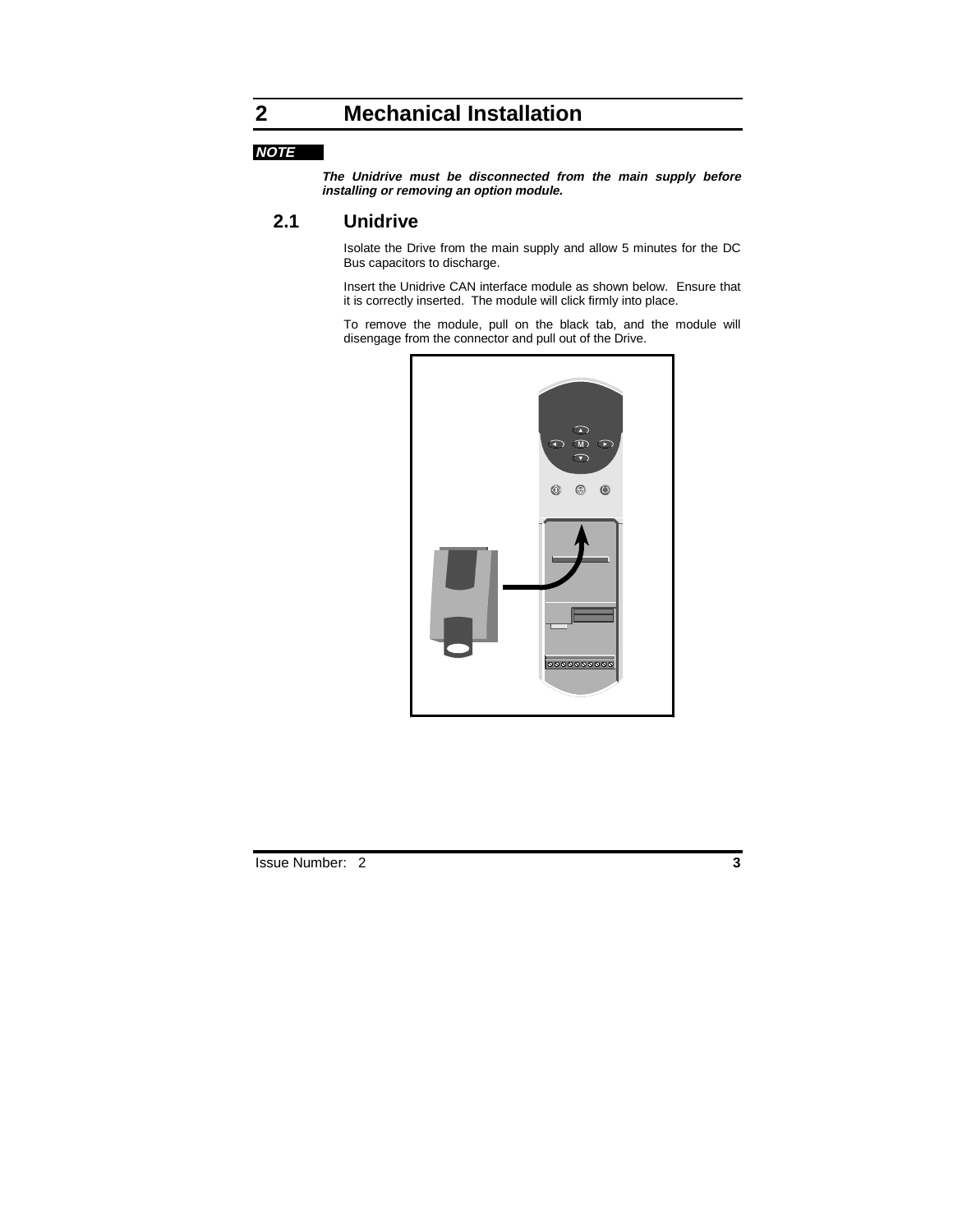# **2 Mechanical Installation**

## **NOTE**

**The Unidrive must be disconnected from the main supply before installing or removing an option module.**

## **2.1 Unidrive**

Isolate the Drive from the main supply and allow 5 minutes for the DC Bus capacitors to discharge.

Insert the Unidrive CAN interface module as shown below. Ensure that it is correctly inserted. The module will click firmly into place.

To remove the module, pull on the black tab, and the module will disengage from the connector and pull out of the Drive.

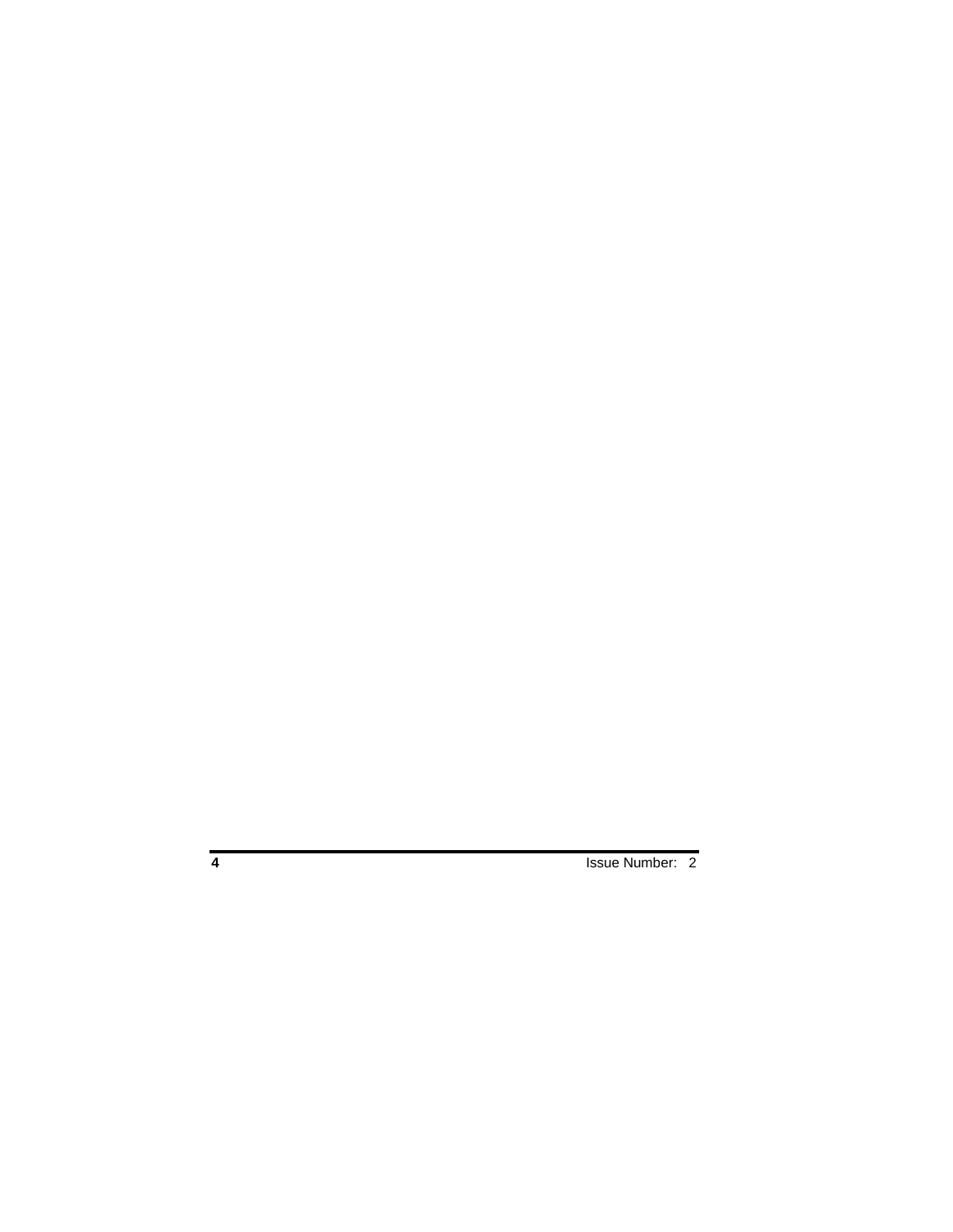Issue Number: 2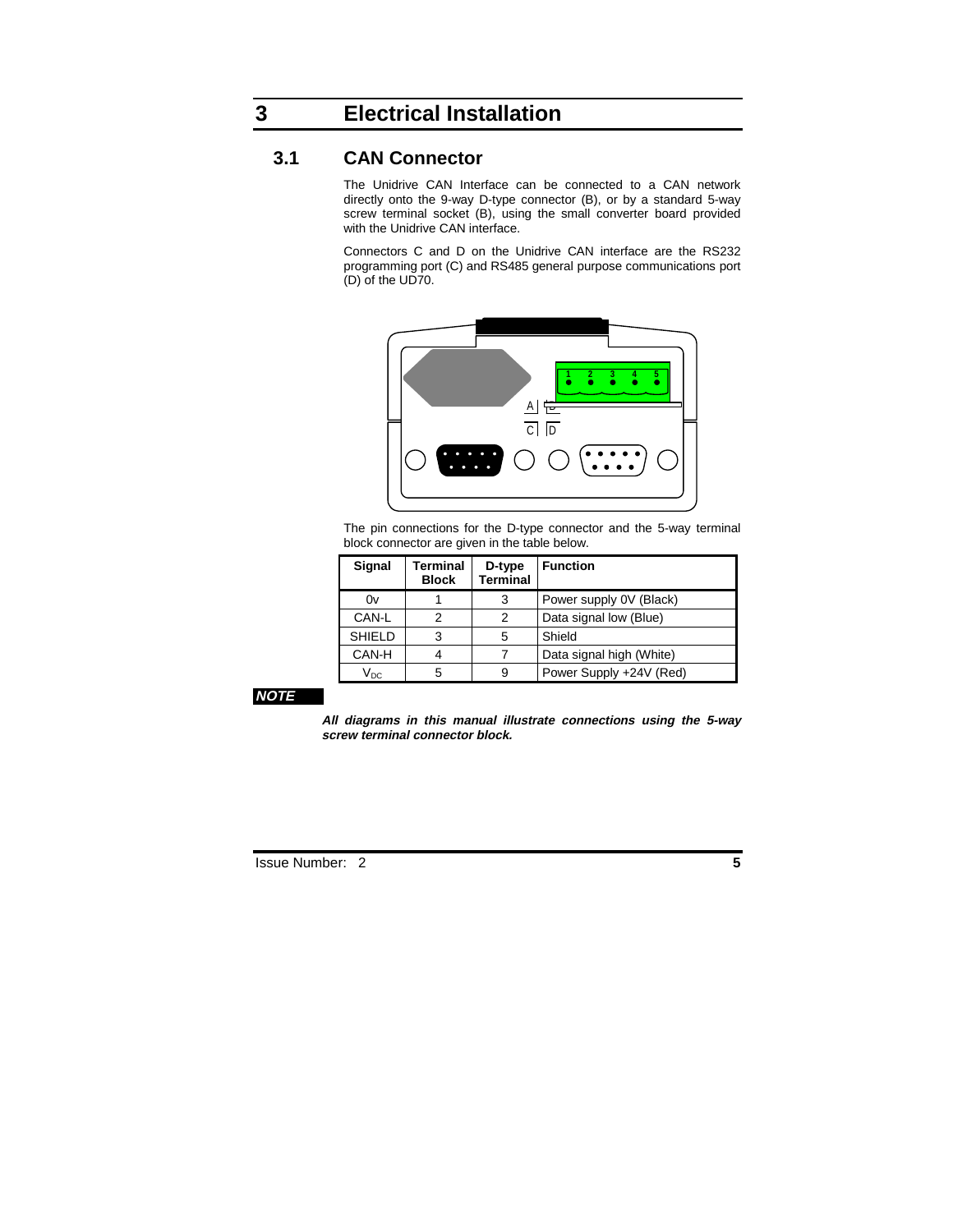**3 Electrical Installation**

## **3.1 CAN Connector**

The Unidrive CAN Interface can be connected to a CAN network directly onto the 9-way D-type connector (B), or by a standard 5-way screw terminal socket (B), using the small converter board provided with the Unidrive CAN interface.

Connectors C and D on the Unidrive CAN interface are the RS232 programming port (C) and RS485 general purpose communications port (D) of the UD70.



The pin connections for the D-type connector and the 5-way terminal block connector are given in the table below.

| Signal        | <b>Terminal</b><br><b>Block</b> | D-type<br>Terminal | <b>Function</b>          |
|---------------|---------------------------------|--------------------|--------------------------|
| 0v            |                                 | 3                  | Power supply 0V (Black)  |
| CAN-L         |                                 | 2                  | Data signal low (Blue)   |
| <b>SHIELD</b> | 3                               | 5                  | Shield                   |
| CAN-H         |                                 |                    | Data signal high (White) |
| $V_{DC}$      | 5                               |                    | Power Supply +24V (Red)  |

## **NOTE**

**All diagrams in this manual illustrate connections using the 5-way screw terminal connector block.**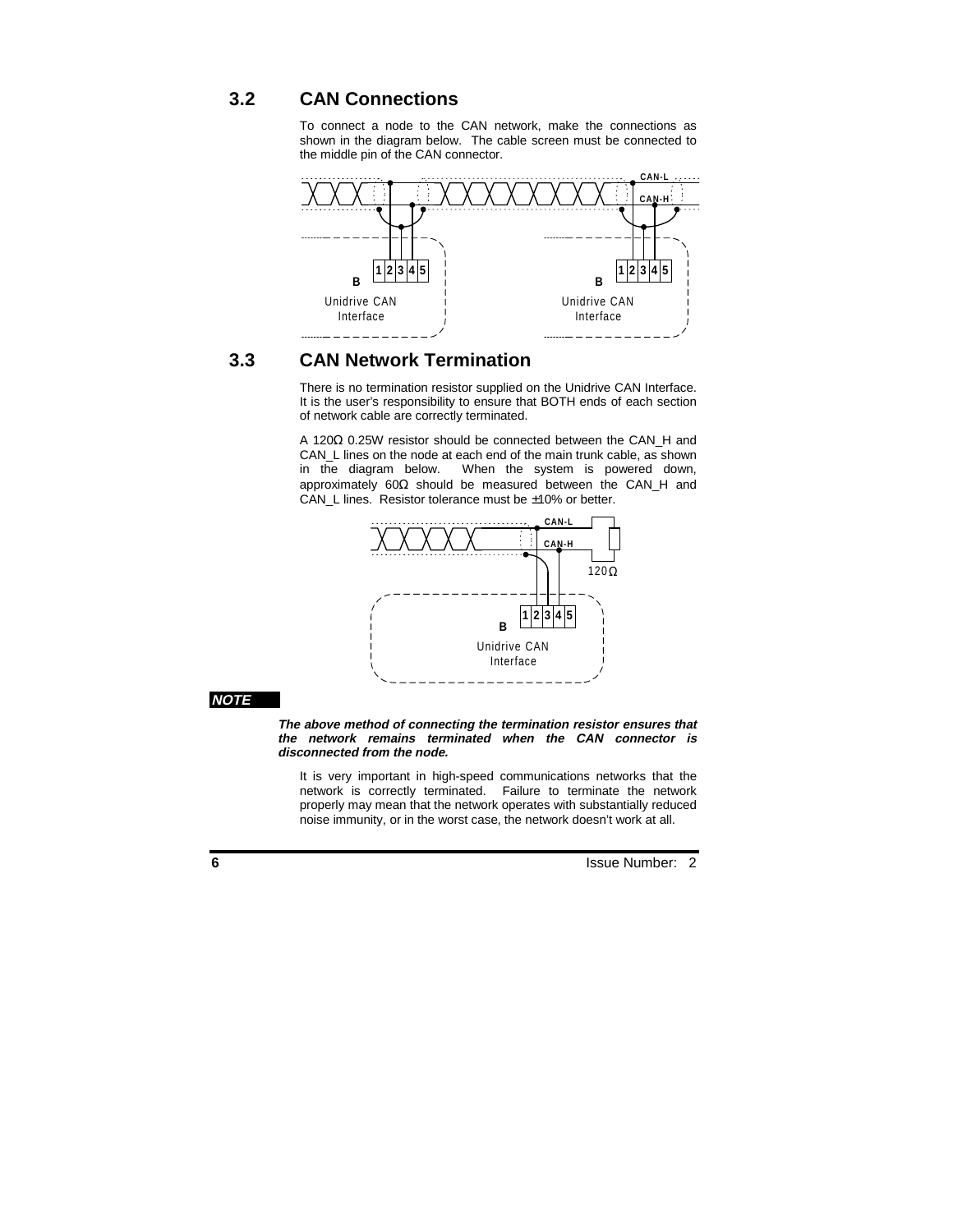## **3.2 CAN Connections**

To connect a node to the CAN network, make the connections as shown in the diagram below. The cable screen must be connected to the middle pin of the CAN connector.



## **3.3 CAN Network Termination**

There is no termination resistor supplied on the Unidrive CAN Interface. It is the user's responsibility to ensure that BOTH ends of each section of network cable are correctly terminated.

A 120Ω 0.25W resistor should be connected between the CAN\_H and CAN\_L lines on the node at each end of the main trunk cable, as shown<br>in the diagram below. When the system is powered down, When the system is powered down, approximately 60Ω should be measured between the CAN\_H and CAN\_L lines. Resistor tolerance must be ±10% or better.



### **NOTE**

**The above method of connecting the termination resistor ensures that the network remains terminated when the CAN connector is disconnected from the node.**

It is very important in high-speed communications networks that the network is correctly terminated. Failure to terminate the network properly may mean that the network operates with substantially reduced noise immunity, or in the worst case, the network doesn't work at all.

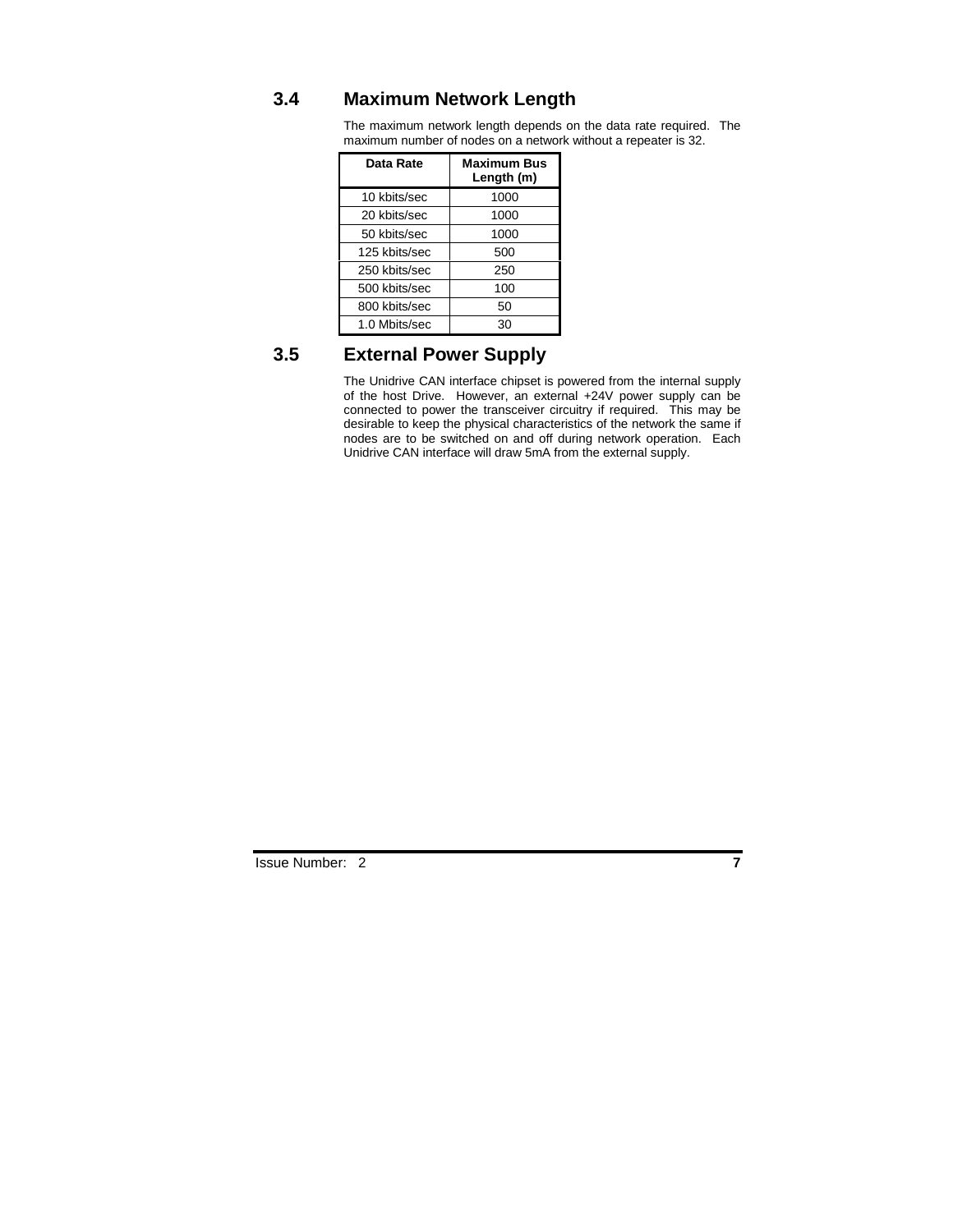## **3.4 Maximum Network Length**

The maximum network length depends on the data rate required. The maximum number of nodes on a network without a repeater is 32.

| Data Rate     | <b>Maximum Bus</b><br>Length (m) |
|---------------|----------------------------------|
| 10 kbits/sec  | 1000                             |
| 20 kbits/sec  | 1000                             |
| 50 kbits/sec  | 1000                             |
| 125 kbits/sec | 500                              |
| 250 kbits/sec | 250                              |
| 500 kbits/sec | 100                              |
| 800 kbits/sec | 50                               |
| 1.0 Mbits/sec | 30                               |

# **3.5 External Power Supply**

The Unidrive CAN interface chipset is powered from the internal supply of the host Drive. However, an external +24V power supply can be connected to power the transceiver circuitry if required. This may be desirable to keep the physical characteristics of the network the same if nodes are to be switched on and off during network operation. Each Unidrive CAN interface will draw 5mA from the external supply.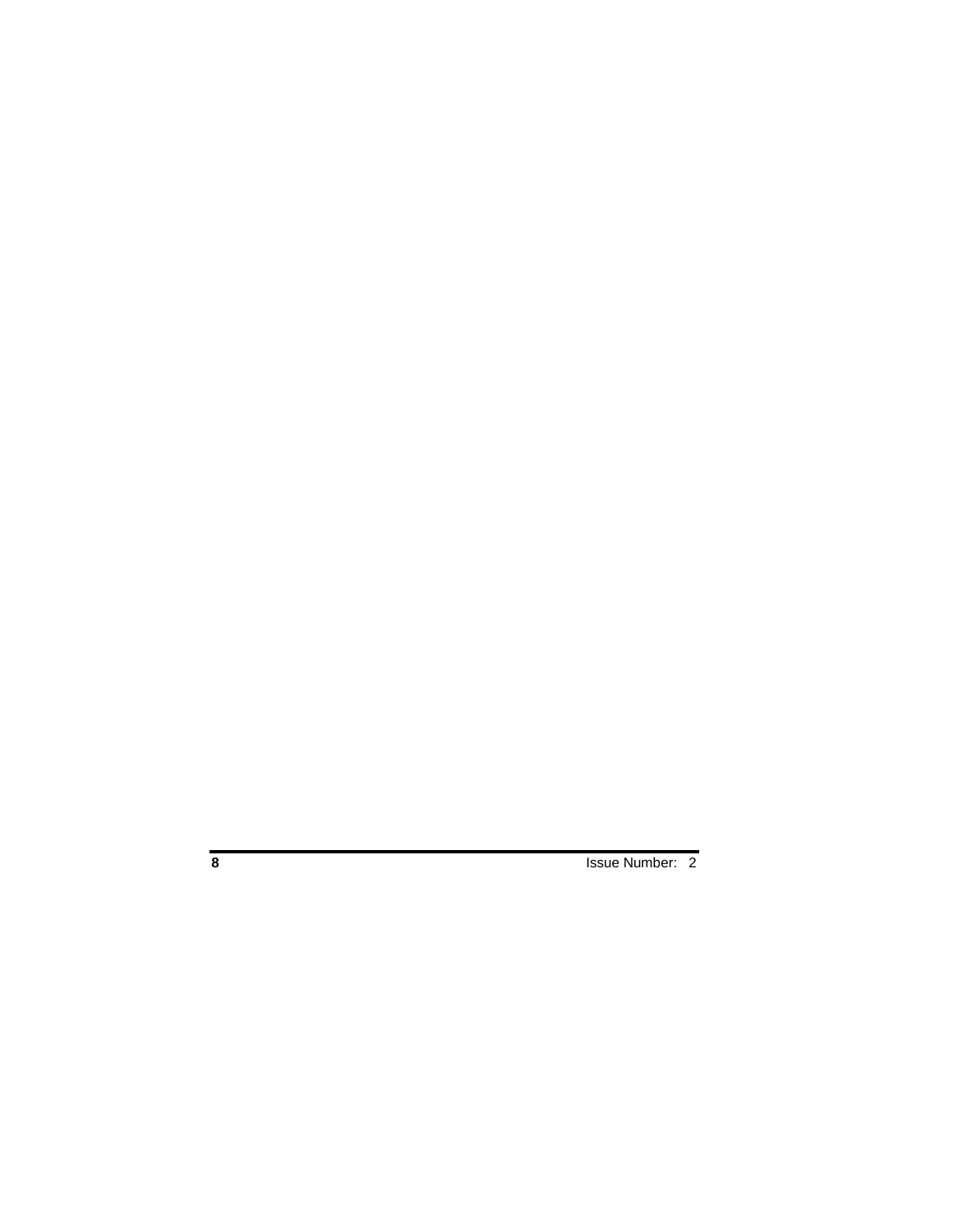Issue Number: 2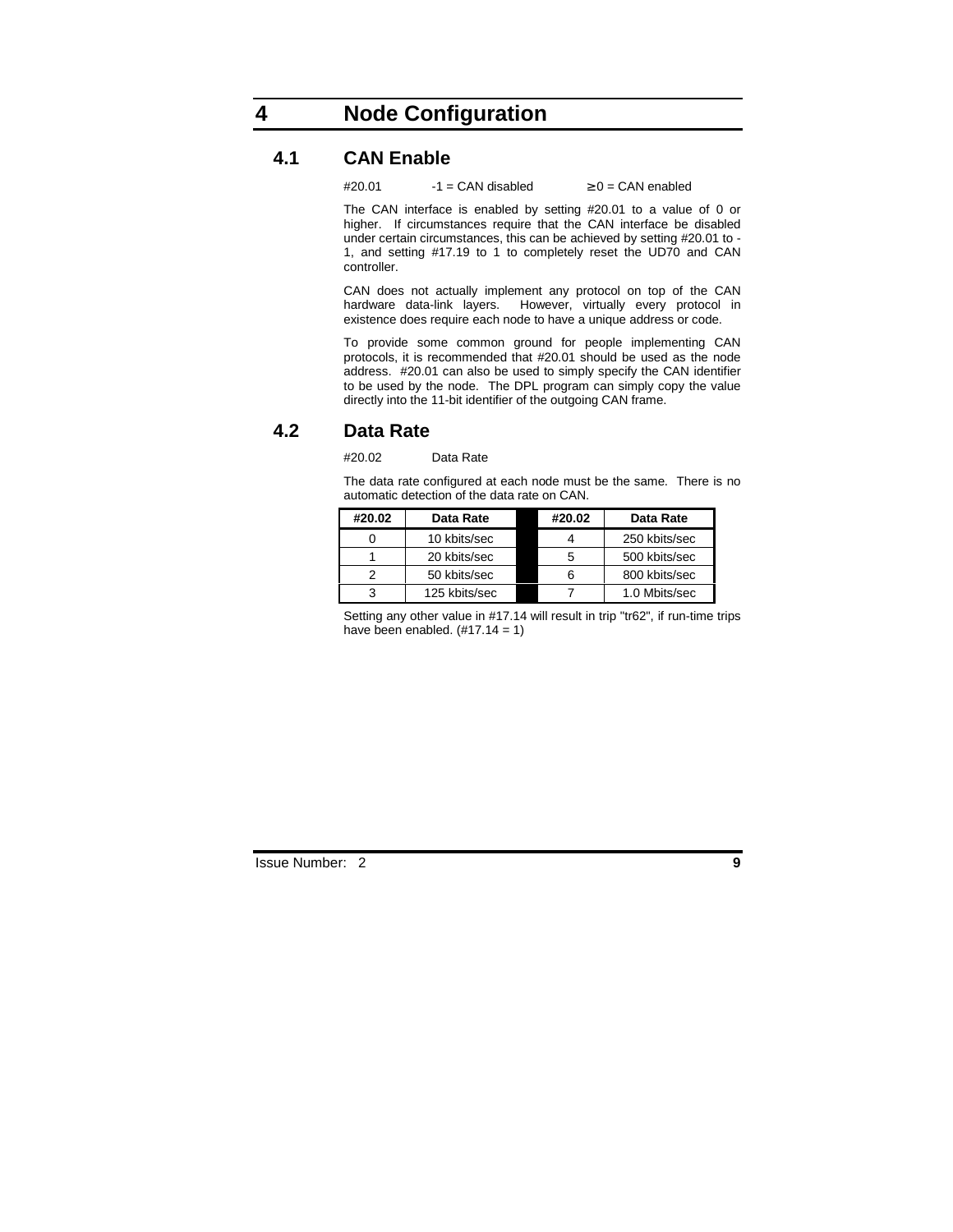# **4 Node Configuration**

## **4.1 CAN Enable**

 $\text{\#20.01}$  -1 = CAN disabled  $\geq 0$  = CAN enabled

The CAN interface is enabled by setting #20.01 to a value of 0 or higher. If circumstances require that the CAN interface be disabled under certain circumstances, this can be achieved by setting #20.01 to - 1, and setting #17.19 to 1 to completely reset the UD70 and CAN controller.

CAN does not actually implement any protocol on top of the CAN hardware data-link layers. However, virtually every protocol in existence does require each node to have a unique address or code.

To provide some common ground for people implementing CAN protocols, it is recommended that #20.01 should be used as the node address. #20.01 can also be used to simply specify the CAN identifier to be used by the node. The DPL program can simply copy the value directly into the 11-bit identifier of the outgoing CAN frame.

## **4.2 Data Rate**

#20.02 Data Rate

The data rate configured at each node must be the same. There is no automatic detection of the data rate on CAN.

| #20.02 | Data Rate     | #20.02 | Data Rate     |
|--------|---------------|--------|---------------|
|        | 10 kbits/sec  |        | 250 kbits/sec |
|        | 20 kbits/sec  |        | 500 kbits/sec |
| っ      | 50 kbits/sec  | ิค     | 800 kbits/sec |
| 3      | 125 kbits/sec |        | 1.0 Mbits/sec |

Setting any other value in #17.14 will result in trip "tr62", if run-time trips have been enabled.  $(\text{\#17.14} = 1)$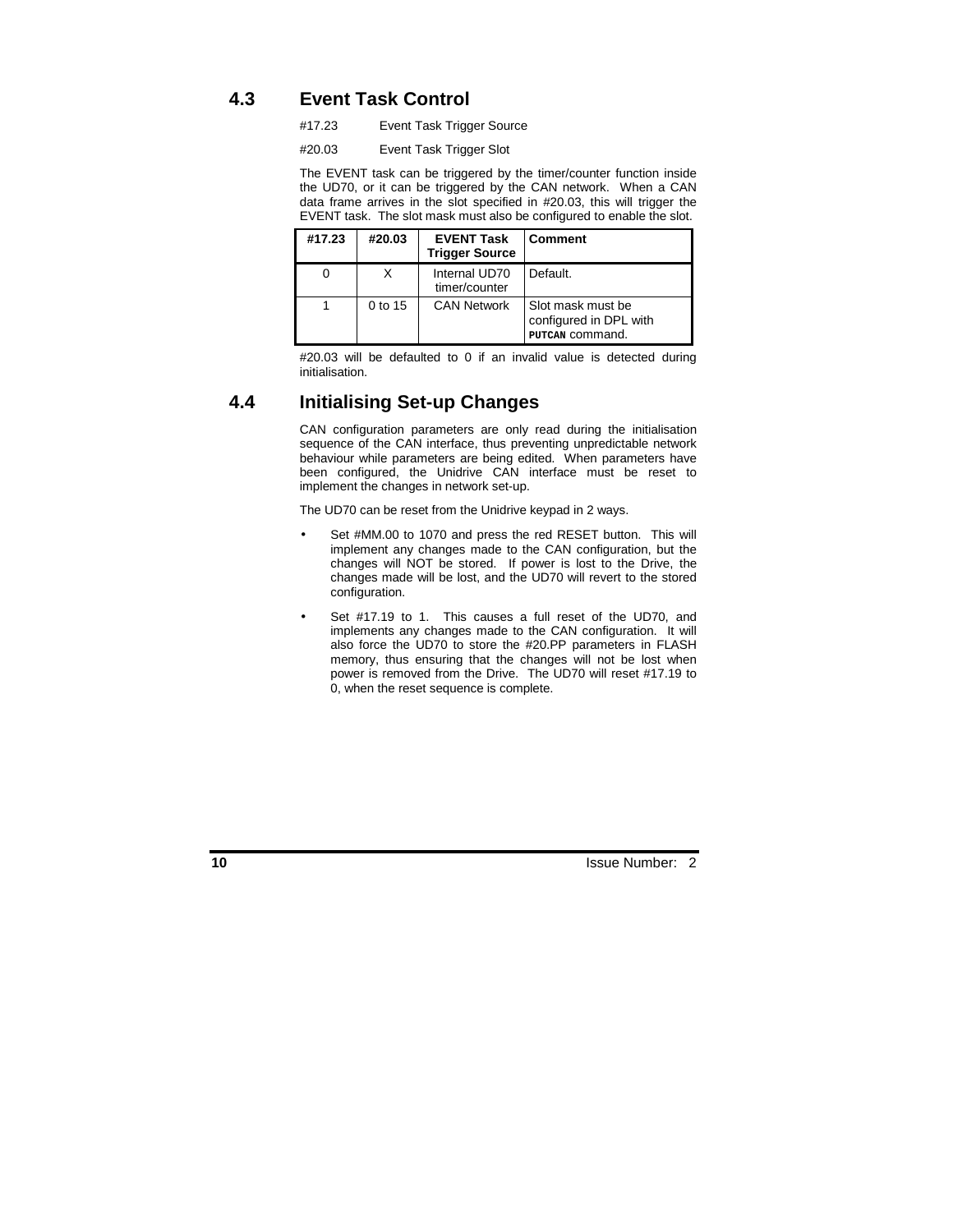## **4.3 Event Task Control**

#17.23 Event Task Trigger Source

#20.03 Event Task Trigger Slot

The EVENT task can be triggered by the timer/counter function inside the UD70, or it can be triggered by the CAN network. When a CAN data frame arrives in the slot specified in #20.03, this will trigger the EVENT task. The slot mask must also be configured to enable the slot.

| #17.23 | #20.03  | <b>EVENT Task</b><br><b>Trigger Source</b> | <b>Comment</b>                                                 |
|--------|---------|--------------------------------------------|----------------------------------------------------------------|
| 0      | х       | Internal UD70<br>timer/counter             | Default.                                                       |
|        | 0 to 15 | <b>CAN Network</b>                         | Slot mask must be<br>configured in DPL with<br>PUTCAN COMMAND. |

#20.03 will be defaulted to 0 if an invalid value is detected during initialisation.

## **4.4 Initialising Set-up Changes**

CAN configuration parameters are only read during the initialisation sequence of the CAN interface, thus preventing unpredictable network behaviour while parameters are being edited. When parameters have been configured, the Unidrive CAN interface must be reset to implement the changes in network set-up.

The UD70 can be reset from the Unidrive keypad in 2 ways.

- Set #MM.00 to 1070 and press the red RESET button. This will implement any changes made to the CAN configuration, but the changes will NOT be stored. If power is lost to the Drive, the changes made will be lost, and the UD70 will revert to the stored configuration.
- Set #17.19 to 1. This causes a full reset of the UD70, and implements any changes made to the CAN configuration. It will also force the UD70 to store the #20.PP parameters in FLASH memory, thus ensuring that the changes will not be lost when power is removed from the Drive. The UD70 will reset #17.19 to 0, when the reset sequence is complete.

**10** Issue Number: 2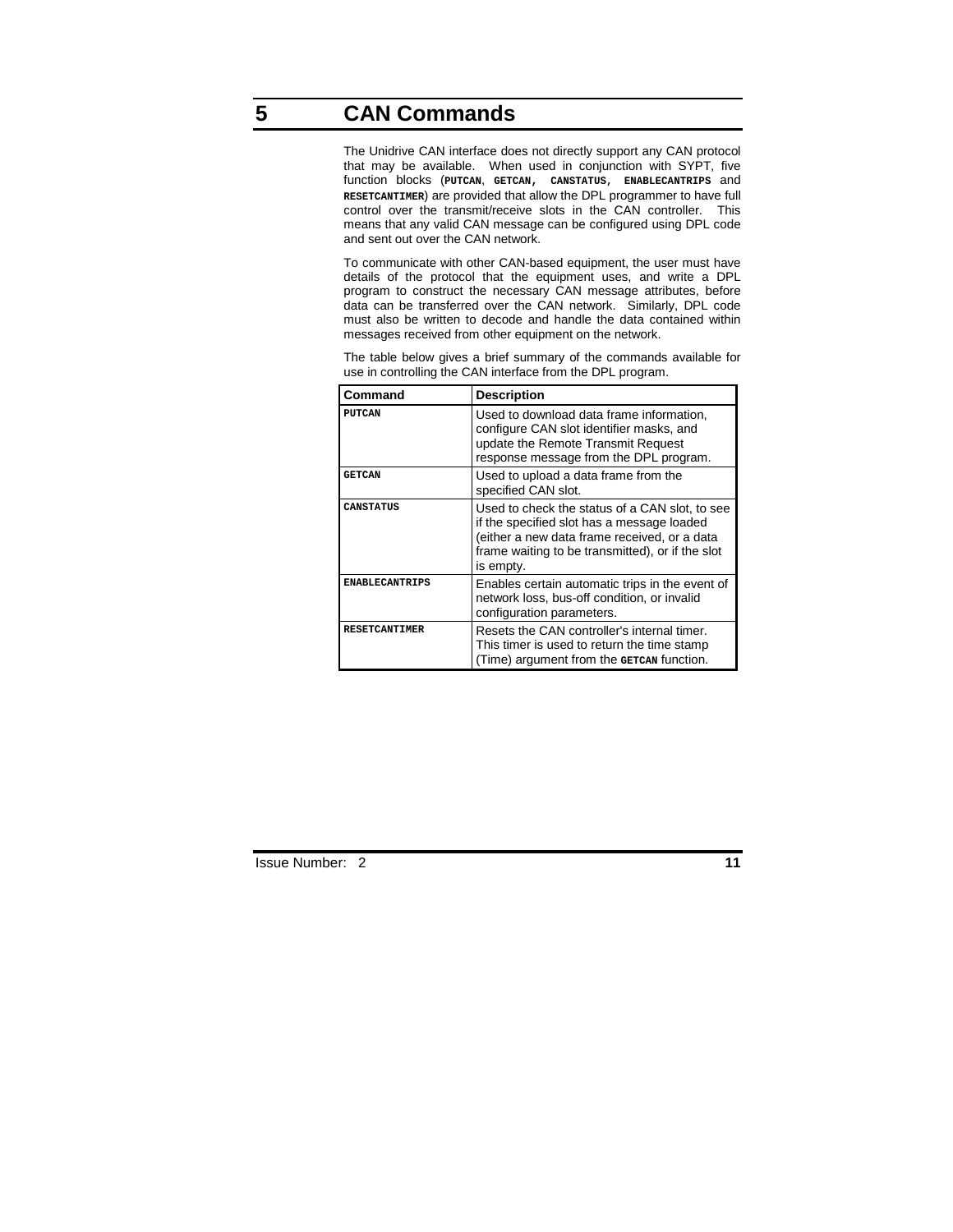# **5 CAN Commands**

The Unidrive CAN interface does not directly support any CAN protocol that may be available. When used in conjunction with SYPT, five function blocks (**PUTCAN**, **GETCAN, CANSTATUS, ENABLECANTRIPS** and **RESETCANTIMER**) are provided that allow the DPL programmer to have full control over the transmit/receive slots in the CAN controller. This means that any valid CAN message can be configured using DPL code and sent out over the CAN network.

To communicate with other CAN-based equipment, the user must have details of the protocol that the equipment uses, and write a DPL program to construct the necessary CAN message attributes, before data can be transferred over the CAN network. Similarly, DPL code must also be written to decode and handle the data contained within messages received from other equipment on the network.

The table below gives a brief summary of the commands available for use in controlling the CAN interface from the DPL program.

| Command               | <b>Description</b>                                                                                                                                                                                            |
|-----------------------|---------------------------------------------------------------------------------------------------------------------------------------------------------------------------------------------------------------|
| <b>PUTCAN</b>         | Used to download data frame information,<br>configure CAN slot identifier masks, and<br>update the Remote Transmit Request<br>response message from the DPL program.                                          |
| <b>GETCAN</b>         | Used to upload a data frame from the<br>specified CAN slot.                                                                                                                                                   |
| <b>CANSTATUS</b>      | Used to check the status of a CAN slot, to see<br>if the specified slot has a message loaded<br>(either a new data frame received, or a data<br>frame waiting to be transmitted), or if the slot<br>is empty. |
| <b>ENABLECANTRIPS</b> | Enables certain automatic trips in the event of<br>network loss, bus-off condition, or invalid<br>configuration parameters.                                                                                   |
| <b>RESETCANTIMER</b>  | Resets the CAN controller's internal timer.<br>This timer is used to return the time stamp<br>(Time) argument from the GETCAN function.                                                                       |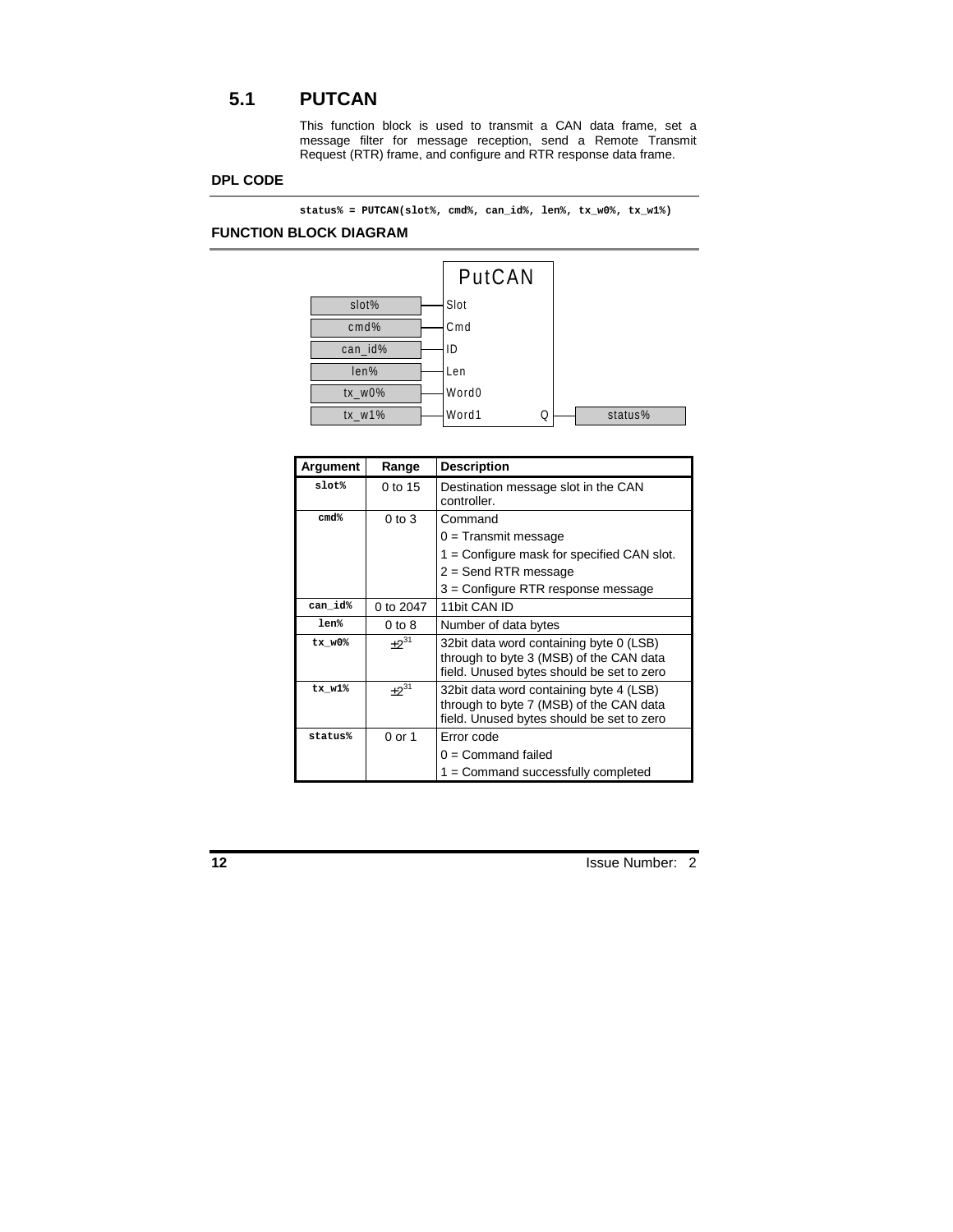## **5.1 PUTCAN**

This function block is used to transmit a CAN data frame, set a message filter for message reception, send a Remote Transmit Request (RTR) frame, and configure and RTR response data frame.

### **DPL CODE**

**status% = PUTCAN(slot%, cmd%, can\_id%, len%, tx\_w0%, tx\_w1%)**

## **FUNCTION BLOCK DIAGRAM**



| Argument        | Range      | <b>Description</b>                                                                                                              |  |
|-----------------|------------|---------------------------------------------------------------------------------------------------------------------------------|--|
| slot%           | 0 to 15    | Destination message slot in the CAN<br>controller.                                                                              |  |
| $cmd$ %         | $0$ to $3$ | Command                                                                                                                         |  |
|                 |            | $0 =$ Transmit message                                                                                                          |  |
|                 |            | 1 = Configure mask for specified CAN slot.                                                                                      |  |
|                 |            | $2 =$ Send RTR message                                                                                                          |  |
|                 |            | $3$ = Configure RTR response message                                                                                            |  |
| can id%         | 0 to 2047  | 11bit CAN ID                                                                                                                    |  |
| l <sub>en</sub> | $0$ to $8$ | Number of data bytes                                                                                                            |  |
| tx w0%          | $+2^{31}$  | 32bit data word containing byte 0 (LSB)<br>through to byte 3 (MSB) of the CAN data<br>field. Unused bytes should be set to zero |  |
| tx w1%          | $+2^{31}$  | 32bit data word containing byte 4 (LSB)<br>through to byte 7 (MSB) of the CAN data<br>field. Unused bytes should be set to zero |  |
| status%         | $0$ or 1   | Error code                                                                                                                      |  |
|                 |            | $0 =$ Command failed                                                                                                            |  |
|                 |            | 1 = Command successfully completed                                                                                              |  |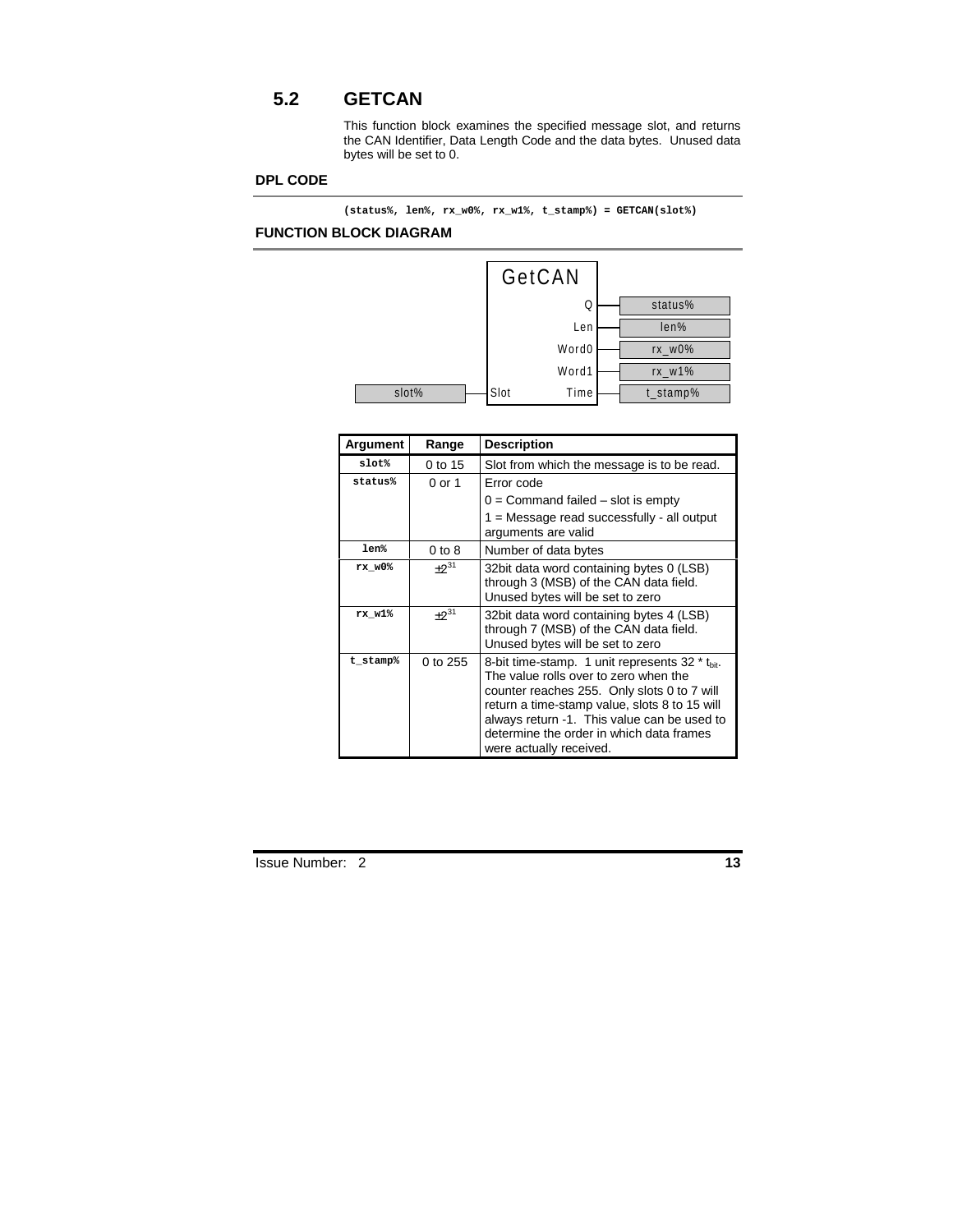# **5.2 GETCAN**

This function block examines the specified message slot, and returns the CAN Identifier, Data Length Code and the data bytes. Unused data bytes will be set to 0.

## **DPL CODE**

**(status%, len%, rx\_w0%, rx\_w1%, t\_stamp%) = GETCAN(slot%)**

## **FUNCTION BLOCK DIAGRAM**



| Argument | Range     | <b>Description</b>                                                                                                                                                                                                                                                                                                         |  |
|----------|-----------|----------------------------------------------------------------------------------------------------------------------------------------------------------------------------------------------------------------------------------------------------------------------------------------------------------------------------|--|
| slot%    | 0 to 15   | Slot from which the message is to be read.                                                                                                                                                                                                                                                                                 |  |
| status%  | 0 or 1    | Error code                                                                                                                                                                                                                                                                                                                 |  |
|          |           | $0 =$ Command failed $-$ slot is empty                                                                                                                                                                                                                                                                                     |  |
|          |           | 1 = Message read successfully - all output<br>arguments are valid                                                                                                                                                                                                                                                          |  |
| len%     | 0 to 8    | Number of data bytes                                                                                                                                                                                                                                                                                                       |  |
| rx w0%   | $+2^{31}$ | 32bit data word containing bytes 0 (LSB)<br>through 3 (MSB) of the CAN data field.<br>Unused bytes will be set to zero                                                                                                                                                                                                     |  |
| rx w1%   | $+2^{31}$ | 32bit data word containing bytes 4 (LSB)<br>through 7 (MSB) of the CAN data field.<br>Unused bytes will be set to zero                                                                                                                                                                                                     |  |
| t_stamp% | 0 to 255  | 8-bit time-stamp. 1 unit represents 32 * t <sub>hit</sub> .<br>The value rolls over to zero when the<br>counter reaches 255. Only slots 0 to 7 will<br>return a time-stamp value, slots 8 to 15 will<br>always return -1. This value can be used to<br>determine the order in which data frames<br>were actually received. |  |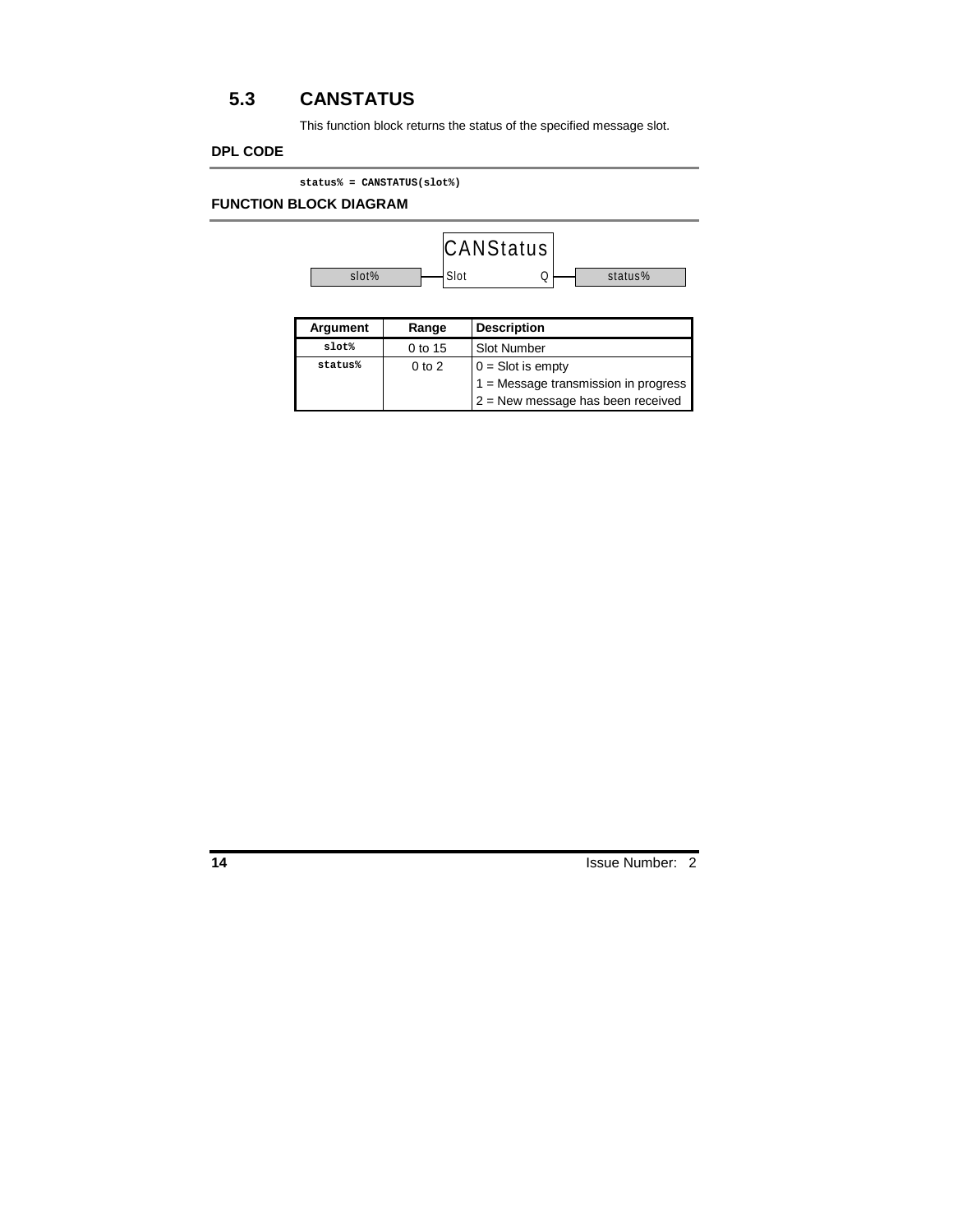# **5.3 CANSTATUS**

This function block returns the status of the specified message slot.

## **DPL CODE**

**status% = CANSTATUS(slot%)**

## **FUNCTION BLOCK DIAGRAM**



| <b>Argument</b> | Range      | <b>Description</b>                   |
|-----------------|------------|--------------------------------------|
| slot%           | 0 to 15    | <b>Slot Number</b>                   |
| status%         | $0$ to $2$ | $0 =$ Slot is empty                  |
|                 |            | 1 = Message transmission in progress |
|                 |            | $2$ = New message has been received  |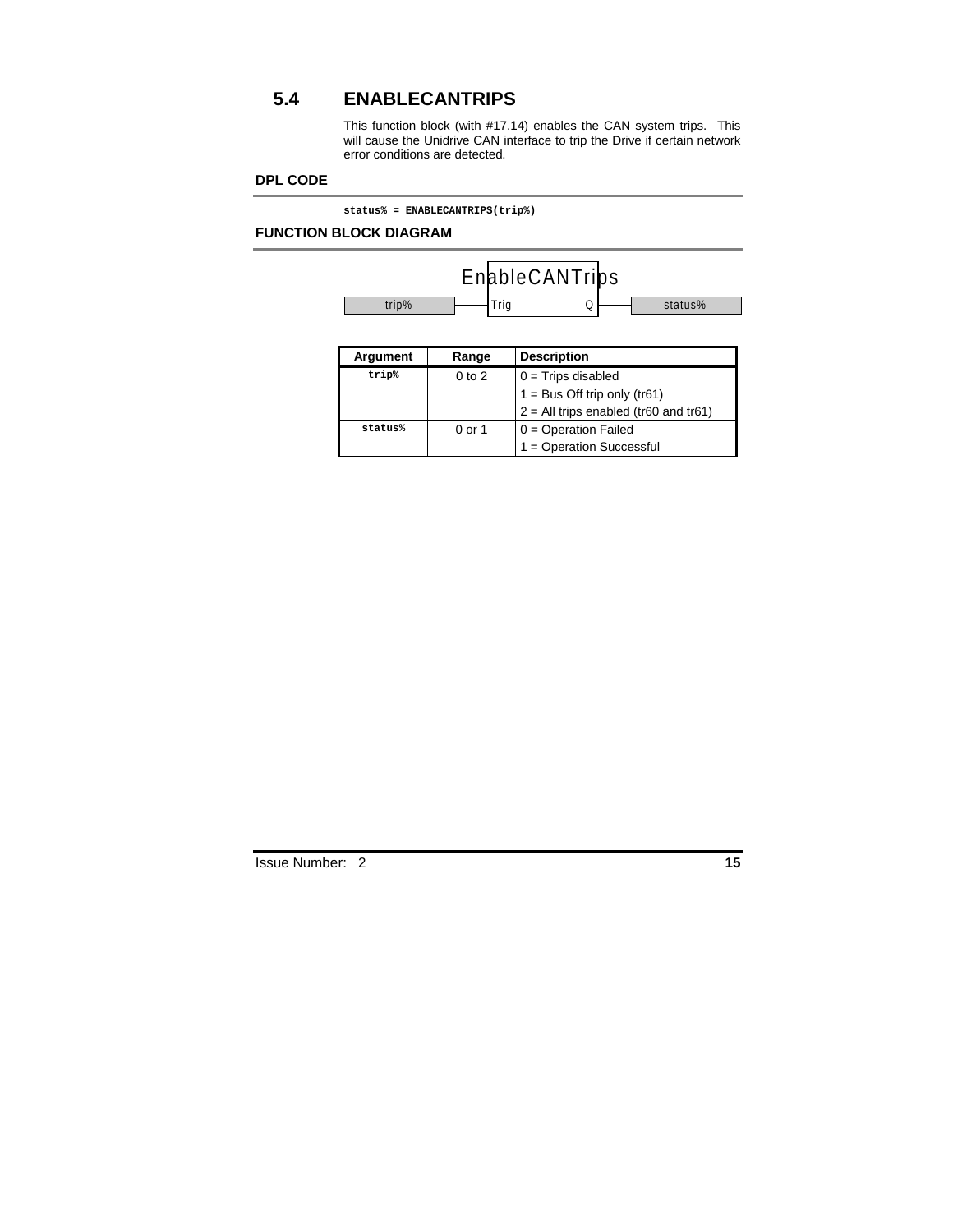# **5.4 ENABLECANTRIPS**

This function block (with #17.14) enables the CAN system trips. This will cause the Unidrive CAN interface to trip the Drive if certain network error conditions are detected.

## **DPL CODE**

**status% = ENABLECANTRIPS(trip%)**

## **FUNCTION BLOCK DIAGRAM**



| Argument | Range      | <b>Description</b>                      |
|----------|------------|-----------------------------------------|
| trip%    | $0$ to $2$ | $0 =$ Trips disabled                    |
|          |            | $1 = Bus$ Off trip only (tr61)          |
|          |            | $2 =$ All trips enabled (tr60 and tr61) |
| status%  | 0 or 1     | $0 =$ Operation Failed                  |
|          |            | $1 =$ Operation Successful              |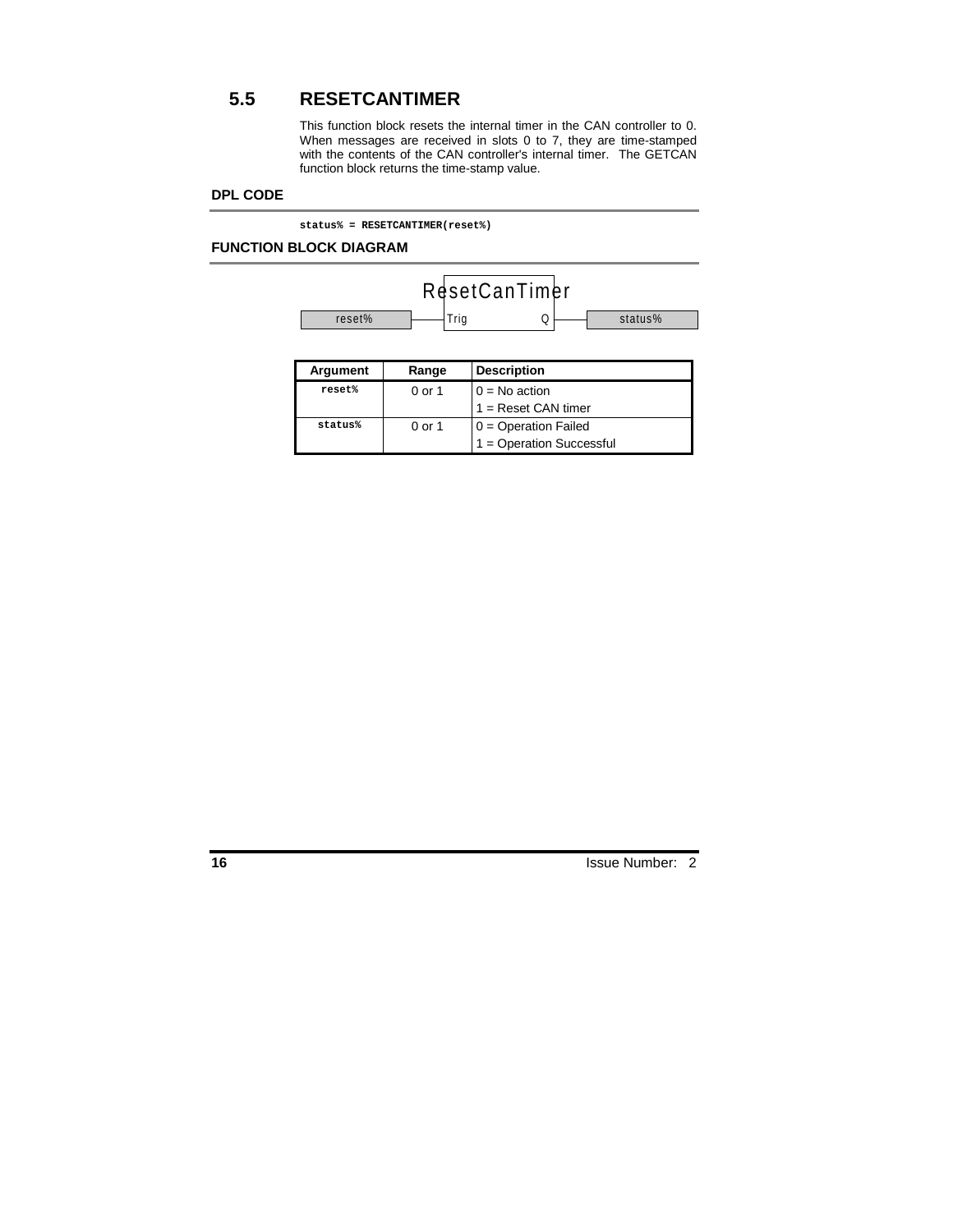## **5.5 RESETCANTIMER**

This function block resets the internal timer in the CAN controller to 0. When messages are received in slots 0 to 7, they are time-stamped with the contents of the CAN controller's internal timer. The GETCAN function block returns the time-stamp value.

### **DPL CODE**

**status% = RESETCANTIMER(reset%)**

### **FUNCTION BLOCK DIAGRAM**



| <b>Argument</b> | Range  | <b>Description</b>       |
|-----------------|--------|--------------------------|
| reset%          | 0 or 1 | $0 = No$ action          |
|                 |        | $1 =$ Reset CAN timer    |
| status%         | 0 or 1 | $0 =$ Operation Failed   |
|                 |        | 1 = Operation Successful |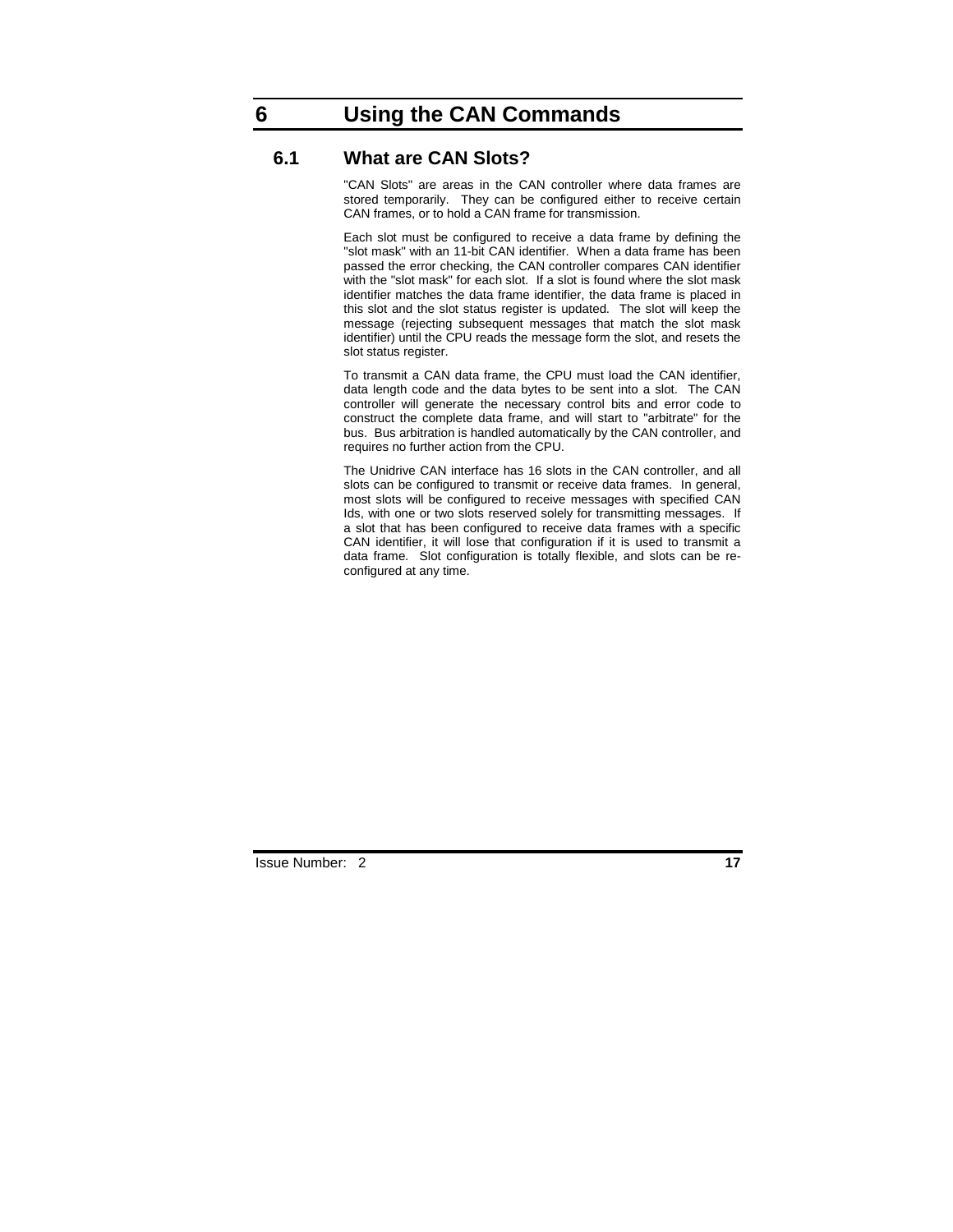# **6 Using the CAN Commands**

## **6.1 What are CAN Slots?**

"CAN Slots" are areas in the CAN controller where data frames are stored temporarily. They can be configured either to receive certain CAN frames, or to hold a CAN frame for transmission.

Each slot must be configured to receive a data frame by defining the "slot mask" with an 11-bit CAN identifier. When a data frame has been passed the error checking, the CAN controller compares CAN identifier with the "slot mask" for each slot. If a slot is found where the slot mask identifier matches the data frame identifier, the data frame is placed in this slot and the slot status register is updated. The slot will keep the message (rejecting subsequent messages that match the slot mask identifier) until the CPU reads the message form the slot, and resets the slot status register.

To transmit a CAN data frame, the CPU must load the CAN identifier, data length code and the data bytes to be sent into a slot. The CAN controller will generate the necessary control bits and error code to construct the complete data frame, and will start to "arbitrate" for the bus. Bus arbitration is handled automatically by the CAN controller, and requires no further action from the CPU.

The Unidrive CAN interface has 16 slots in the CAN controller, and all slots can be configured to transmit or receive data frames. In general, most slots will be configured to receive messages with specified CAN Ids, with one or two slots reserved solely for transmitting messages. If a slot that has been configured to receive data frames with a specific CAN identifier, it will lose that configuration if it is used to transmit a data frame. Slot configuration is totally flexible, and slots can be reconfigured at any time.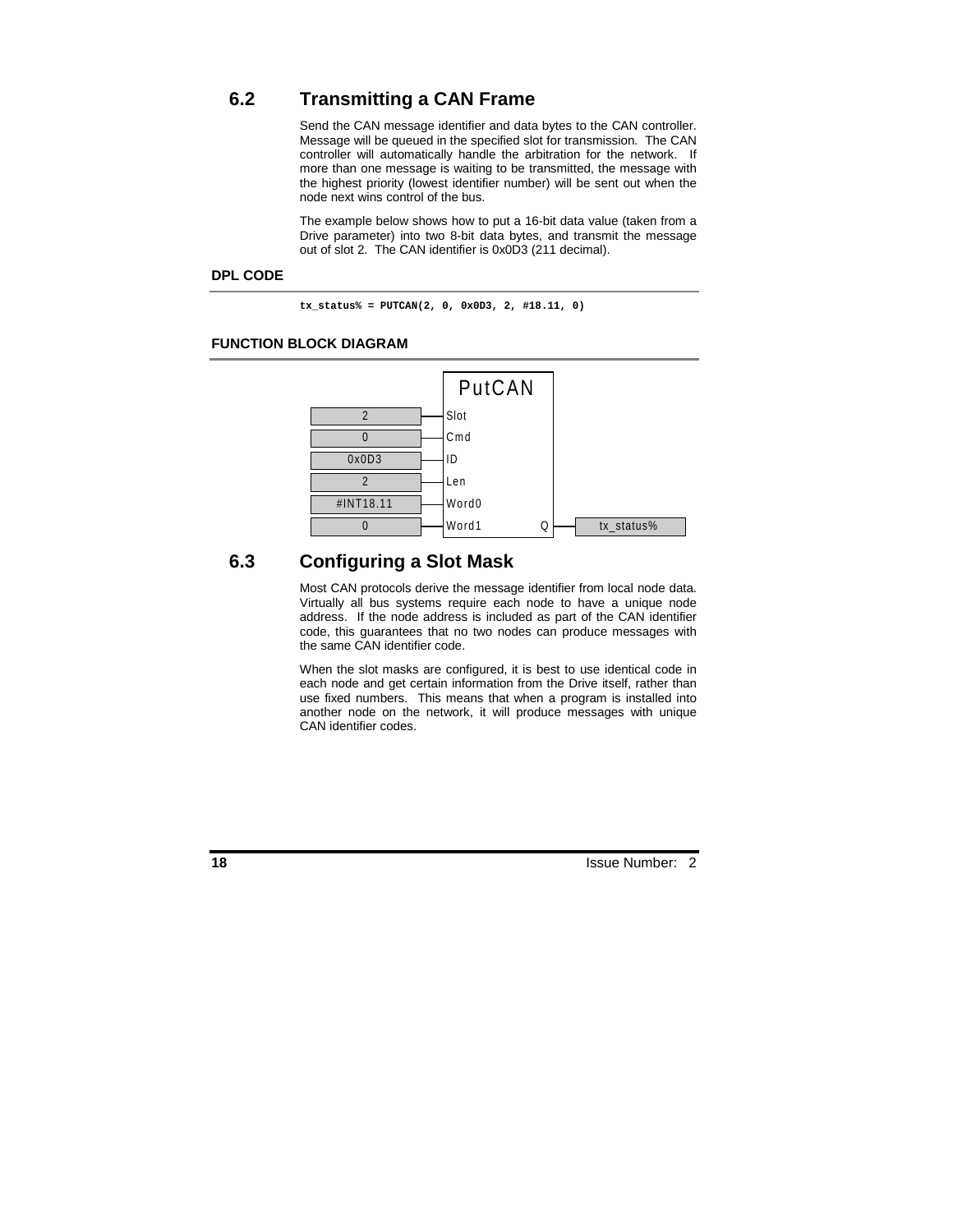## **6.2 Transmitting a CAN Frame**

Send the CAN message identifier and data bytes to the CAN controller. Message will be queued in the specified slot for transmission. The CAN controller will automatically handle the arbitration for the network. If more than one message is waiting to be transmitted, the message with the highest priority (lowest identifier number) will be sent out when the node next wins control of the bus.

The example below shows how to put a 16-bit data value (taken from a Drive parameter) into two 8-bit data bytes, and transmit the message out of slot 2. The CAN identifier is 0x0D3 (211 decimal).

### **DPL CODE**

**tx\_status% = PUTCAN(2, 0, 0x0D3, 2, #18.11, 0)**

## **FUNCTION BLOCK DIAGRAM**



## **6.3 Configuring a Slot Mask**

Most CAN protocols derive the message identifier from local node data. Virtually all bus systems require each node to have a unique node address. If the node address is included as part of the CAN identifier code, this guarantees that no two nodes can produce messages with the same CAN identifier code.

When the slot masks are configured, it is best to use identical code in each node and get certain information from the Drive itself, rather than use fixed numbers. This means that when a program is installed into another node on the network, it will produce messages with unique CAN identifier codes.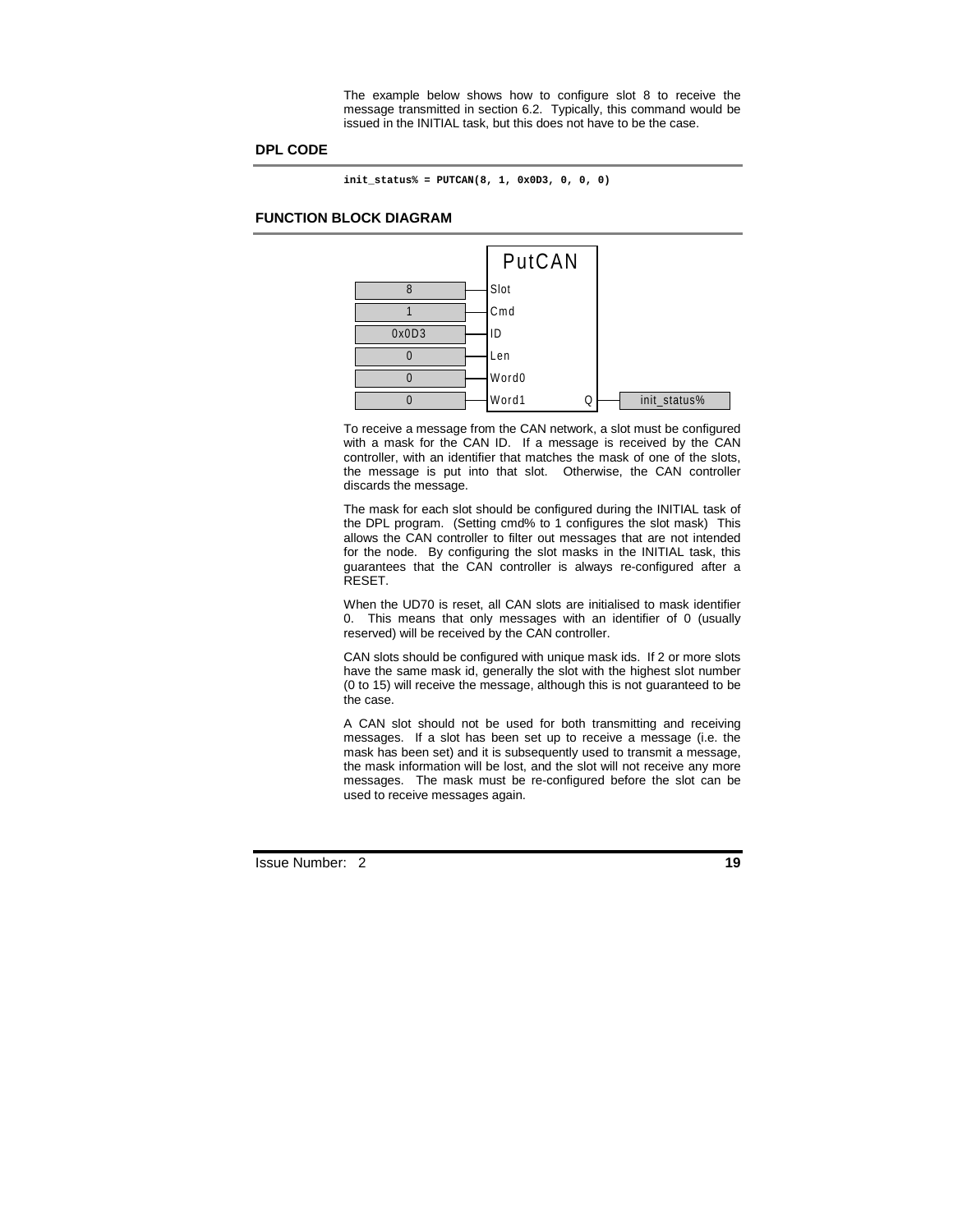The example below shows how to configure slot 8 to receive the message transmitted in section 6.2. Typically, this command would be issued in the INITIAL task, but this does not have to be the case.

### **DPL CODE**

**init\_status% = PUTCAN(8, 1, 0x0D3, 0, 0, 0)**

### **FUNCTION BLOCK DIAGRAM**



To receive a message from the CAN network, a slot must be configured with a mask for the CAN ID. If a message is received by the CAN controller, with an identifier that matches the mask of one of the slots, the message is put into that slot. Otherwise, the CAN controller discards the message.

The mask for each slot should be configured during the INITIAL task of the DPL program. (Setting cmd% to 1 configures the slot mask) This allows the CAN controller to filter out messages that are not intended for the node. By configuring the slot masks in the INITIAL task, this guarantees that the CAN controller is always re-configured after a RESET.

When the UD70 is reset, all CAN slots are initialised to mask identifier 0. This means that only messages with an identifier of 0 (usually reserved) will be received by the CAN controller.

CAN slots should be configured with unique mask ids. If 2 or more slots have the same mask id, generally the slot with the highest slot number (0 to 15) will receive the message, although this is not guaranteed to be the case.

A CAN slot should not be used for both transmitting and receiving messages. If a slot has been set up to receive a message (i.e. the mask has been set) and it is subsequently used to transmit a message, the mask information will be lost, and the slot will not receive any more messages. The mask must be re-configured before the slot can be used to receive messages again.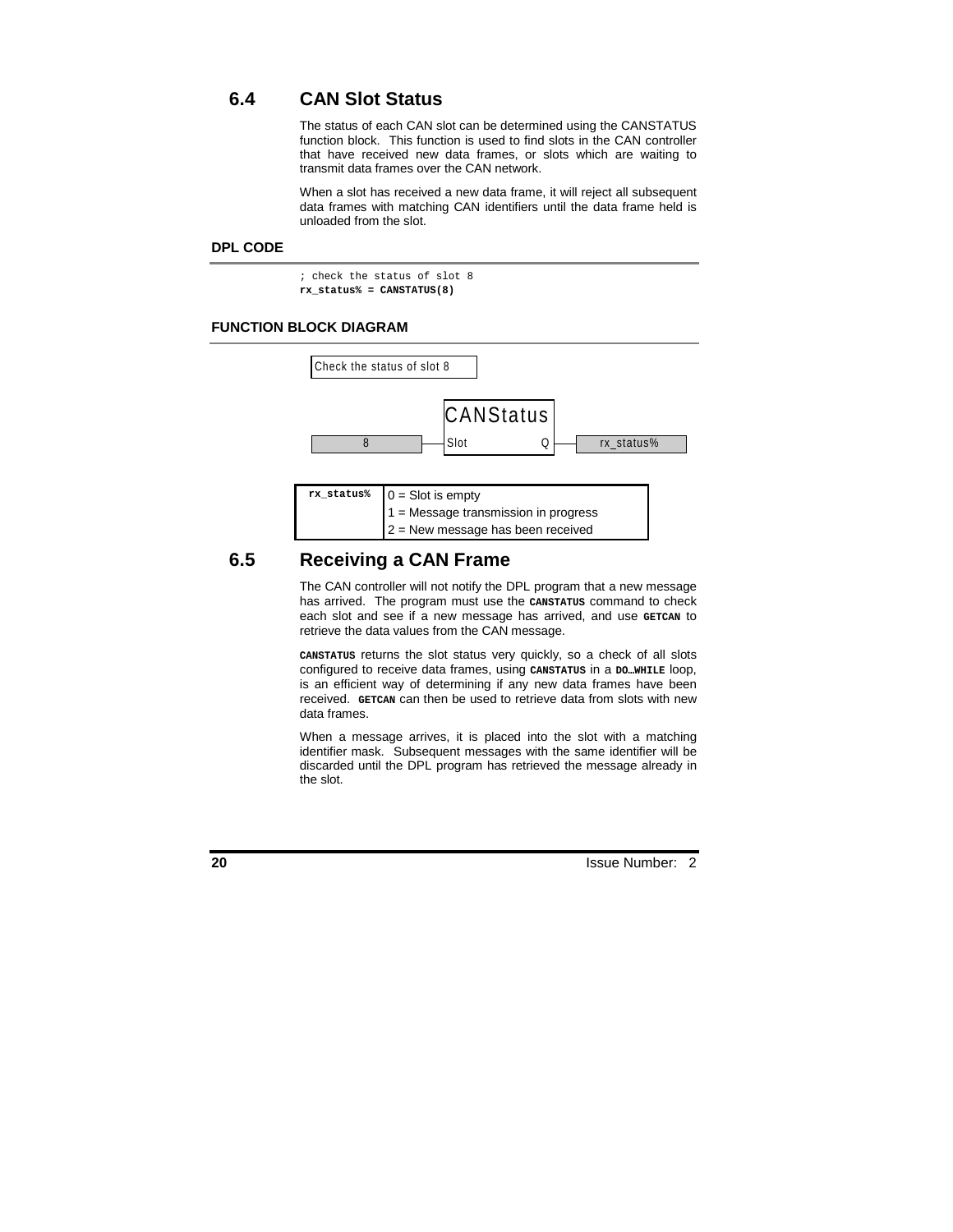## **6.4 CAN Slot Status**

The status of each CAN slot can be determined using the CANSTATUS function block. This function is used to find slots in the CAN controller that have received new data frames, or slots which are waiting to transmit data frames over the CAN network.

When a slot has received a new data frame, it will reject all subsequent data frames with matching CAN identifiers until the data frame held is unloaded from the slot.

### **DPL CODE**

; check the status of slot 8 **rx\_status% = CANSTATUS(8)**

### **FUNCTION BLOCK DIAGRAM**



## **6.5 Receiving a CAN Frame**

The CAN controller will not notify the DPL program that a new message has arrived. The program must use the **CANSTATUS** command to check each slot and see if a new message has arrived, and use GETCAN to retrieve the data values from the CAN message.

**CANSTATUS** returns the slot status very quickly, so a check of all slots configured to receive data frames, using **CANSTATUS** in a **DO…WHILE** loop, is an efficient way of determining if any new data frames have been received. **GETCAN** can then be used to retrieve data from slots with new data frames.

When a message arrives, it is placed into the slot with a matching identifier mask. Subsequent messages with the same identifier will be discarded until the DPL program has retrieved the message already in the slot.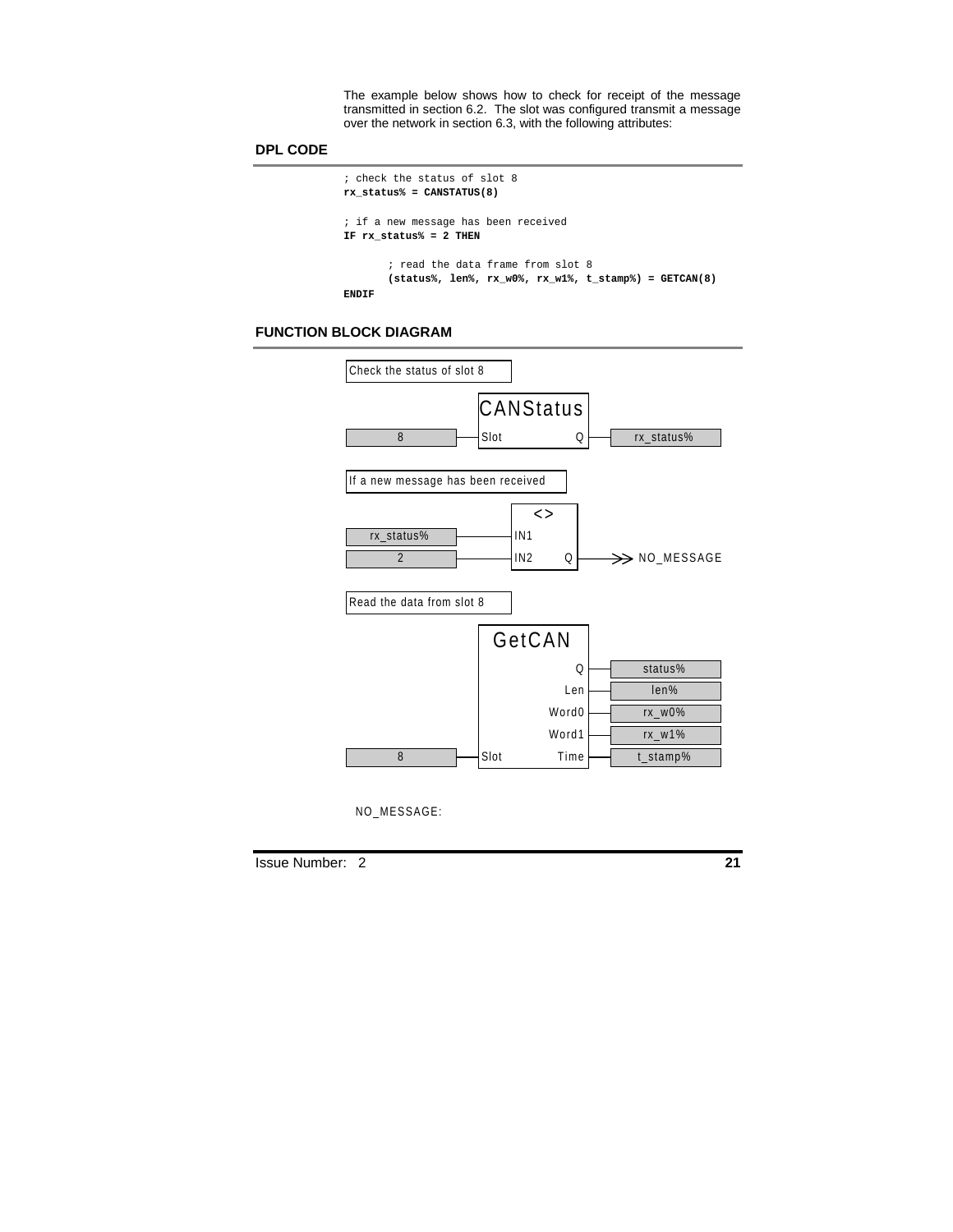The example below shows how to check for receipt of the message transmitted in section 6.2. The slot was configured transmit a message over the network in section 6.3, with the following attributes:

## **DPL CODE**

```
; check the status of slot 8
rx_status% = CANSTATUS(8)
; if a new message has been received
IF rx_status% = 2 THEN
       ; read the data frame from slot 8
       (status%, len%, rx_w0%, rx_w1%, t_stamp%) = GETCAN(8)
ENDIF
```
### **FUNCTION BLOCK DIAGRAM**



NO\_MESSAGE: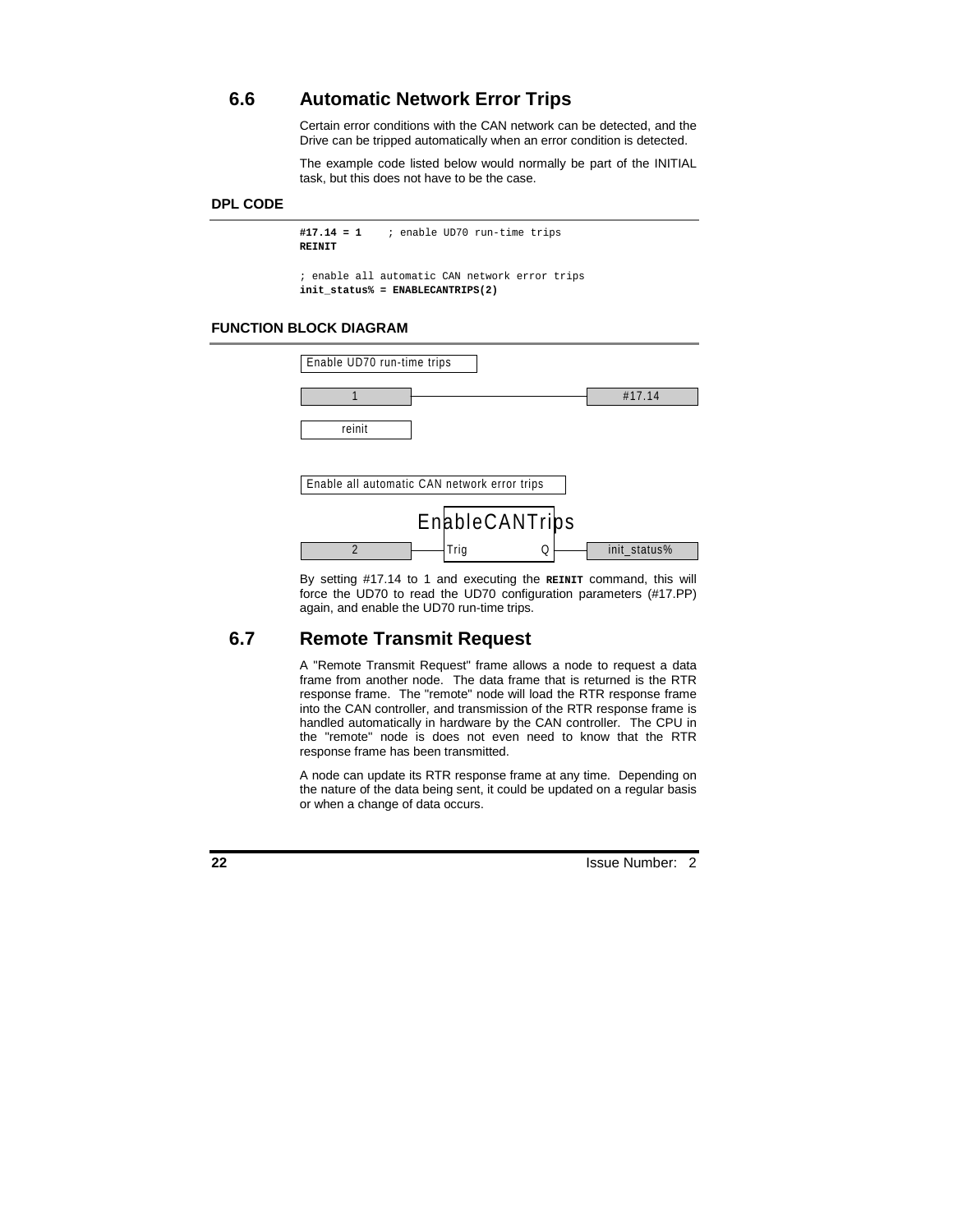## **6.6 Automatic Network Error Trips**

Certain error conditions with the CAN network can be detected, and the Drive can be tripped automatically when an error condition is detected.

The example code listed below would normally be part of the INITIAL task, but this does not have to be the case.

### **DPL CODE**

**#17.14 = 1** ; enable UD70 run-time trips **REINIT**

; enable all automatic CAN network error trips **init\_status% = ENABLECANTRIPS(2)**

### **FUNCTION BLOCK DIAGRAM**



By setting #17.14 to 1 and executing the **REINIT** command, this will force the UD70 to read the UD70 configuration parameters (#17.PP) again, and enable the UD70 run-time trips.

## **6.7 Remote Transmit Request**

A "Remote Transmit Request" frame allows a node to request a data frame from another node. The data frame that is returned is the RTR response frame. The "remote" node will load the RTR response frame into the CAN controller, and transmission of the RTR response frame is handled automatically in hardware by the CAN controller. The CPU in the "remote" node is does not even need to know that the RTR response frame has been transmitted.

A node can update its RTR response frame at any time. Depending on the nature of the data being sent, it could be updated on a regular basis or when a change of data occurs.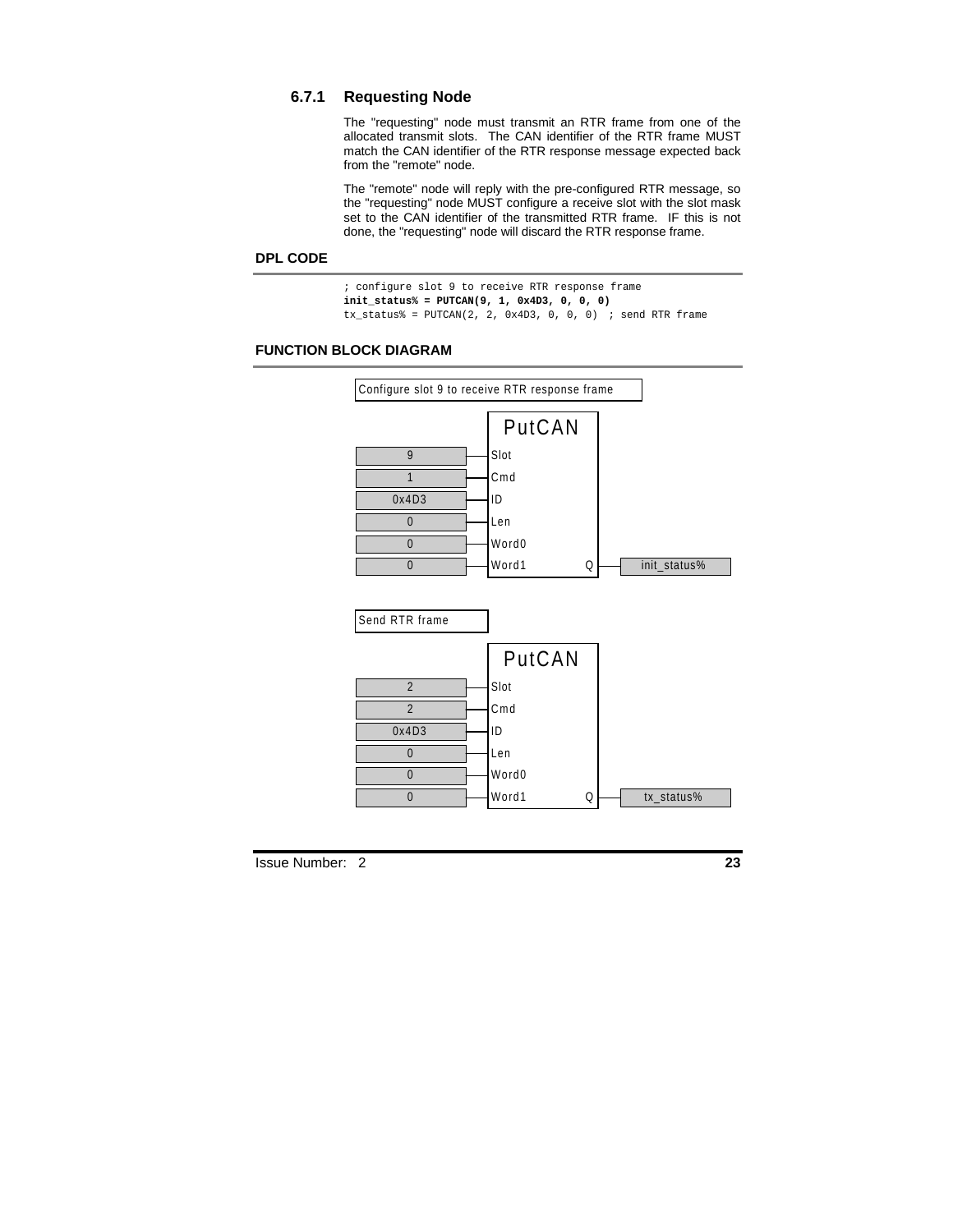## **6.7.1 Requesting Node**

The "requesting" node must transmit an RTR frame from one of the allocated transmit slots. The CAN identifier of the RTR frame MUST match the CAN identifier of the RTR response message expected back from the "remote" node.

The "remote" node will reply with the pre-configured RTR message, so the "requesting" node MUST configure a receive slot with the slot mask set to the CAN identifier of the transmitted RTR frame. IF this is not done, the "requesting" node will discard the RTR response frame.

## **DPL CODE**

; configure slot 9 to receive RTR response frame **init\_status% = PUTCAN(9, 1, 0x4D3, 0, 0, 0)**  $tx\_status$  = PUTCAN(2, 2, 0x4D3, 0, 0, 0) ; send RTR frame

## **FUNCTION BLOCK DIAGRAM**

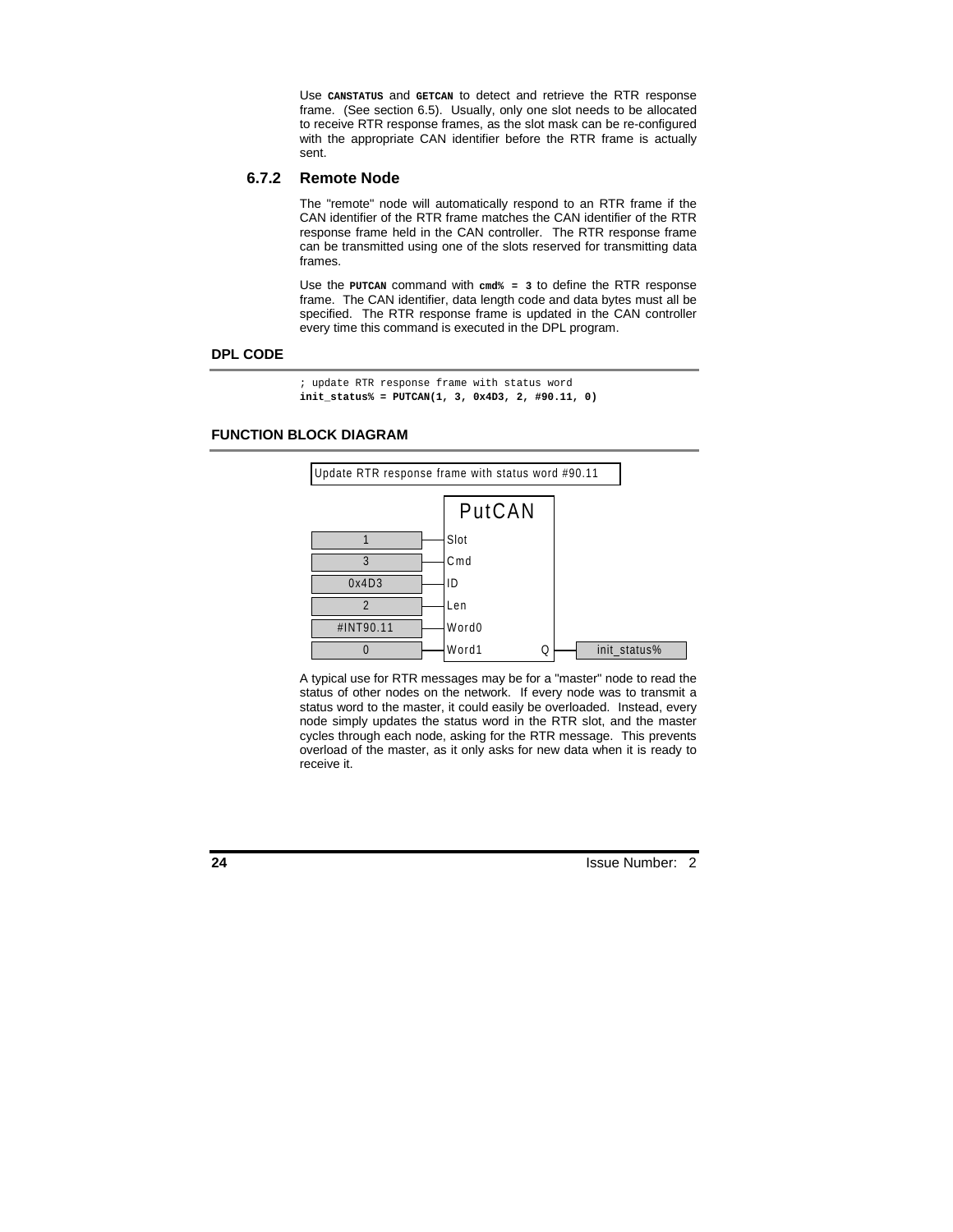Use **CANSTATUS** and **GETCAN** to detect and retrieve the RTR response frame. (See section 6.5). Usually, only one slot needs to be allocated to receive RTR response frames, as the slot mask can be re-configured with the appropriate CAN identifier before the RTR frame is actually sent.

### **6.7.2 Remote Node**

The "remote" node will automatically respond to an RTR frame if the CAN identifier of the RTR frame matches the CAN identifier of the RTR response frame held in the CAN controller. The RTR response frame can be transmitted using one of the slots reserved for transmitting data frames.

Use the **PUTCAN** command with **cmd% = 3** to define the RTR response frame. The CAN identifier, data length code and data bytes must all be specified. The RTR response frame is updated in the CAN controller every time this command is executed in the DPL program.

### **DPL CODE**

```
; update RTR response frame with status word
init_status% = PUTCAN(1, 3, 0x4D3, 2, #90.11, 0)
```
### **FUNCTION BLOCK DIAGRAM**



A typical use for RTR messages may be for a "master" node to read the status of other nodes on the network. If every node was to transmit a status word to the master, it could easily be overloaded. Instead, every node simply updates the status word in the RTR slot, and the master cycles through each node, asking for the RTR message. This prevents overload of the master, as it only asks for new data when it is ready to receive it.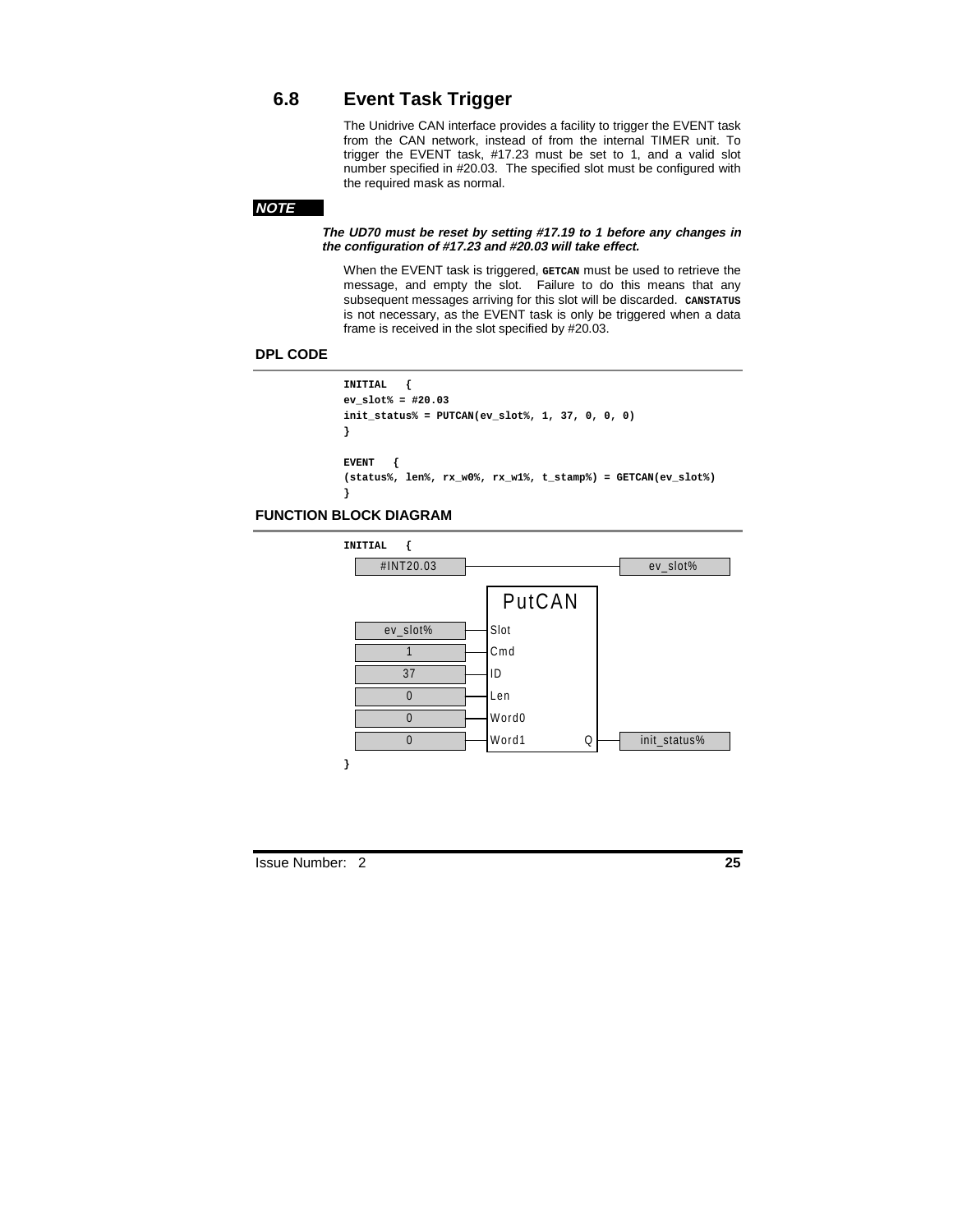## **6.8 Event Task Trigger**

The Unidrive CAN interface provides a facility to trigger the EVENT task from the CAN network, instead of from the internal TIMER unit. To trigger the EVENT task, #17.23 must be set to 1, and a valid slot number specified in #20.03. The specified slot must be configured with the required mask as normal.

### **NOTE**

**The UD70 must be reset by setting #17.19 to 1 before any changes in the configuration of #17.23 and #20.03 will take effect.**

When the EVENT task is triggered, **GETCAN** must be used to retrieve the message, and empty the slot. Failure to do this means that any subsequent messages arriving for this slot will be discarded. **CANSTATUS** is not necessary, as the EVENT task is only be triggered when a data frame is received in the slot specified by #20.03.

### **DPL CODE**

```
INITIAL {
ev_slot% = #20.03
init_status% = PUTCAN(ev_slot%, 1, 37, 0, 0, 0)
}
EVENT {
(status%, len%, rx_w0%, rx_w1%, t_stamp%) = GETCAN(ev_slot%)
}
```
## **FUNCTION BLOCK DIAGRAM**

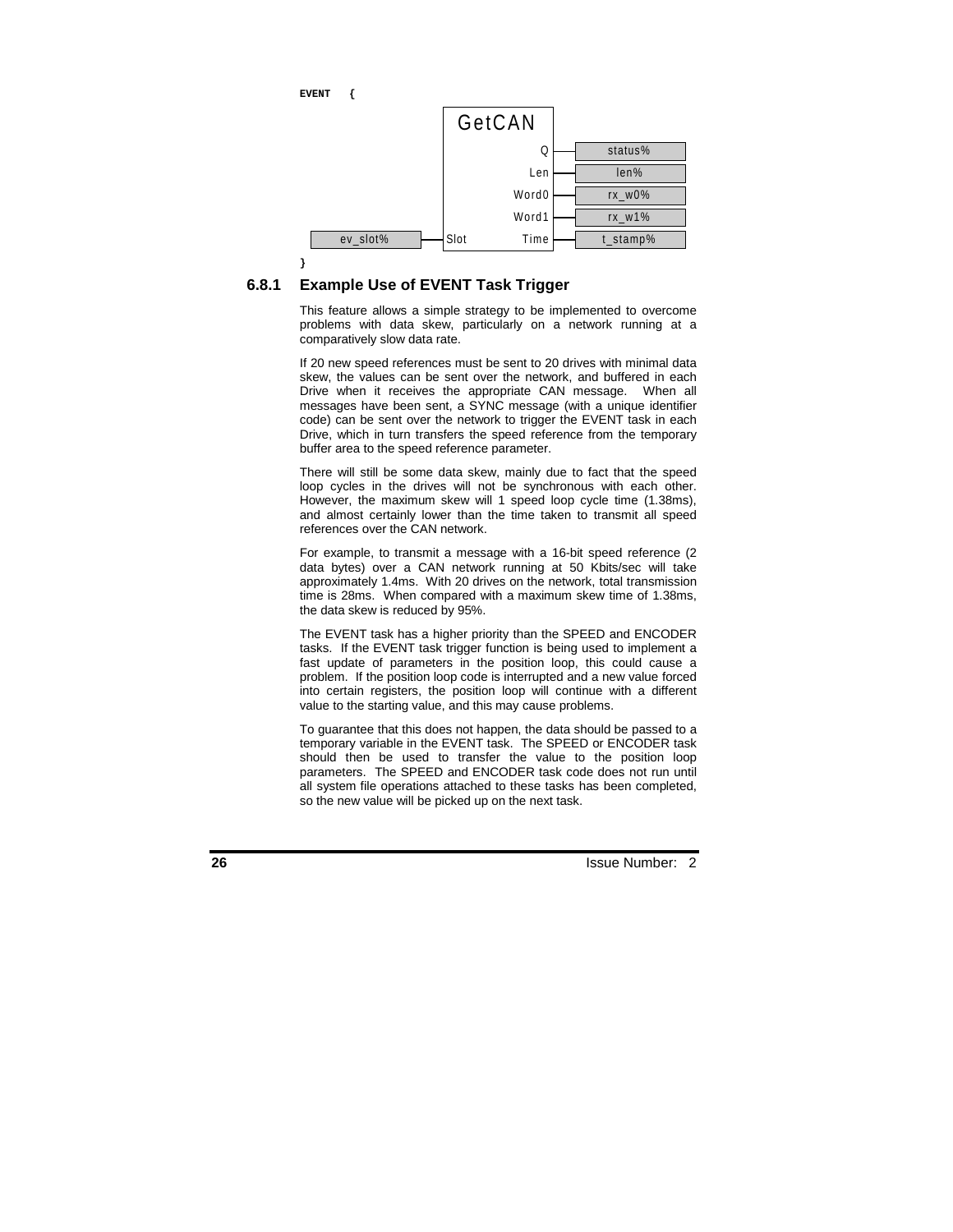

### **6.8.1 Example Use of EVENT Task Trigger**

This feature allows a simple strategy to be implemented to overcome problems with data skew, particularly on a network running at a comparatively slow data rate.

If 20 new speed references must be sent to 20 drives with minimal data skew, the values can be sent over the network, and buffered in each Drive when it receives the appropriate CAN message. When all messages have been sent, a SYNC message (with a unique identifier code) can be sent over the network to trigger the EVENT task in each Drive, which in turn transfers the speed reference from the temporary buffer area to the speed reference parameter.

There will still be some data skew, mainly due to fact that the speed loop cycles in the drives will not be synchronous with each other. However, the maximum skew will 1 speed loop cycle time (1.38ms), and almost certainly lower than the time taken to transmit all speed references over the CAN network.

For example, to transmit a message with a 16-bit speed reference (2 data bytes) over a CAN network running at 50 Kbits/sec will take approximately 1.4ms. With 20 drives on the network, total transmission time is 28ms. When compared with a maximum skew time of 1.38ms, the data skew is reduced by 95%.

The EVENT task has a higher priority than the SPEED and ENCODER tasks. If the EVENT task trigger function is being used to implement a fast update of parameters in the position loop, this could cause a problem. If the position loop code is interrupted and a new value forced into certain registers, the position loop will continue with a different value to the starting value, and this may cause problems.

To guarantee that this does not happen, the data should be passed to a temporary variable in the EVENT task. The SPEED or ENCODER task should then be used to transfer the value to the position loop parameters. The SPEED and ENCODER task code does not run until all system file operations attached to these tasks has been completed, so the new value will be picked up on the next task.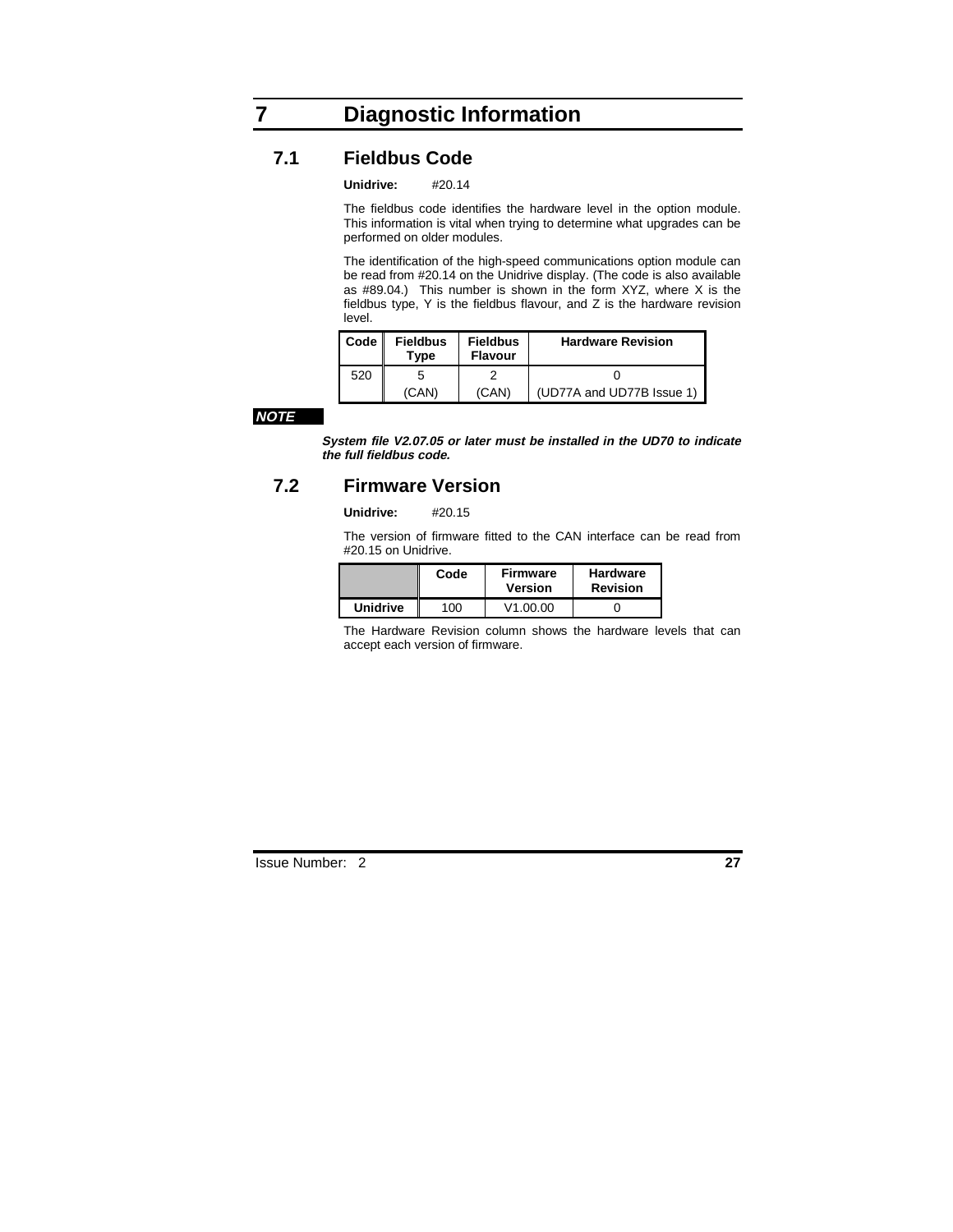# **7 Diagnostic Information**

## **7.1 Fieldbus Code**

**Unidrive:** #20.14

The fieldbus code identifies the hardware level in the option module. This information is vital when trying to determine what upgrades can be performed on older modules.

The identification of the high-speed communications option module can be read from #20.14 on the Unidrive display. (The code is also available as #89.04.) This number is shown in the form XYZ, where X is the fieldbus type, Y is the fieldbus flavour, and Z is the hardware revision level.

| Code | <b>Fieldbus</b><br>Type | <b>Fieldbus</b><br><b>Flavour</b> | <b>Hardware Revision</b>  |
|------|-------------------------|-----------------------------------|---------------------------|
| 520  |                         |                                   |                           |
|      | (CAN)                   | (CAN)                             | (UD77A and UD77B Issue 1) |

## **NOTE**

**System file V2.07.05 or later must be installed in the UD70 to indicate the full fieldbus code.**

## **7.2 Firmware Version**

**Unidrive:** #20.15

The version of firmware fitted to the CAN interface can be read from #20.15 on Unidrive.

|                 | Code | <b>Firmware</b><br>Version | <b>Hardware</b><br><b>Revision</b> |
|-----------------|------|----------------------------|------------------------------------|
| <b>Unidrive</b> | 100  | V1.00.00                   |                                    |

The Hardware Revision column shows the hardware levels that can accept each version of firmware.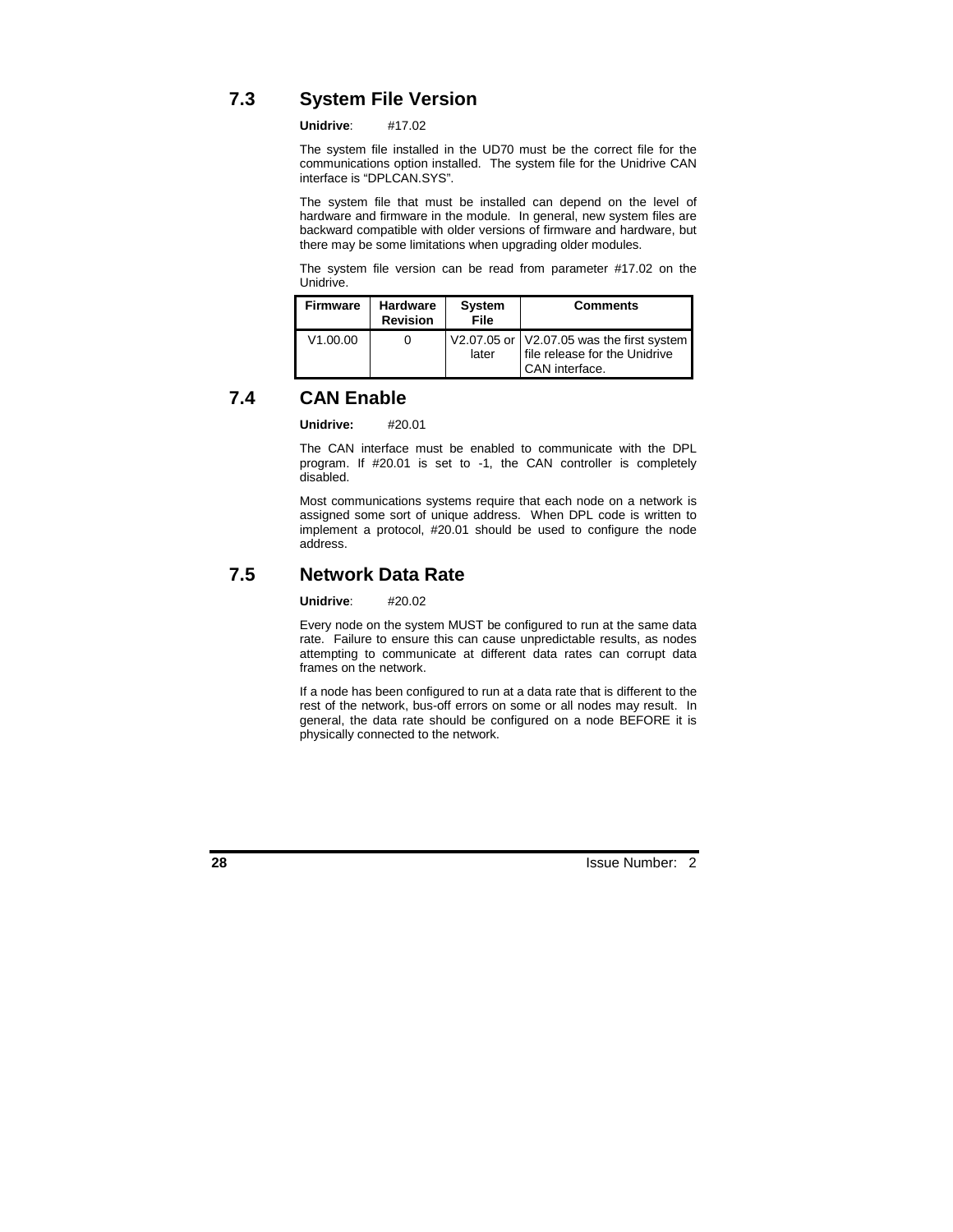## **7.3 System File Version**

**Unidrive**: #17.02

The system file installed in the UD70 must be the correct file for the communications option installed. The system file for the Unidrive CAN interface is "DPLCAN.SYS".

The system file that must be installed can depend on the level of hardware and firmware in the module. In general, new system files are backward compatible with older versions of firmware and hardware, but there may be some limitations when upgrading older modules.

The system file version can be read from parameter #17.02 on the Unidrive.

| <b>Firmware</b> | <b>Hardware</b><br><b>Revision</b> | System<br>File | <b>Comments</b>                                                                                |
|-----------------|------------------------------------|----------------|------------------------------------------------------------------------------------------------|
| V1.00.00        |                                    | later          | V2.07.05 or   V2.07.05 was the first system<br>file release for the Unidrive<br>CAN interface. |

## **7.4 CAN Enable**

**Unidrive:** #20.01

The CAN interface must be enabled to communicate with the DPL program. If #20.01 is set to -1, the CAN controller is completely disabled.

Most communications systems require that each node on a network is assigned some sort of unique address. When DPL code is written to implement a protocol, #20.01 should be used to configure the node address.

## **7.5 Network Data Rate**

### **Unidrive**: #20.02

Every node on the system MUST be configured to run at the same data rate. Failure to ensure this can cause unpredictable results, as nodes attempting to communicate at different data rates can corrupt data frames on the network.

If a node has been configured to run at a data rate that is different to the rest of the network, bus-off errors on some or all nodes may result. In general, the data rate should be configured on a node BEFORE it is physically connected to the network.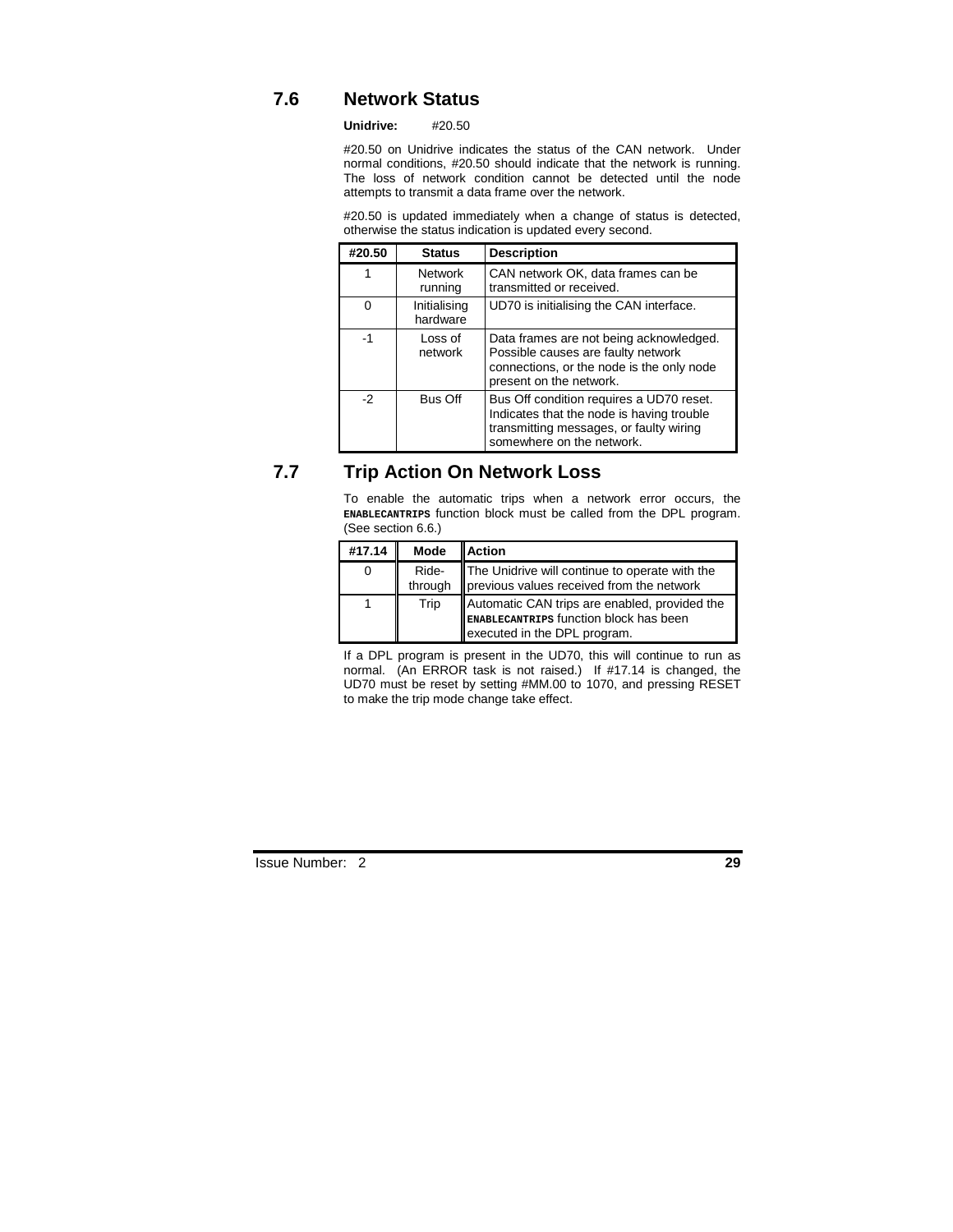## **7.6 Network Status**

**Unidrive:** #20.50

#20.50 on Unidrive indicates the status of the CAN network. Under normal conditions, #20.50 should indicate that the network is running. The loss of network condition cannot be detected until the node attempts to transmit a data frame over the network.

| #20.50 is updated immediately when a change of status is detected, |  |
|--------------------------------------------------------------------|--|
| otherwise the status indication is updated every second.           |  |

| #20.50 | <b>Status</b>             | <b>Description</b>                                                                                                                                            |
|--------|---------------------------|---------------------------------------------------------------------------------------------------------------------------------------------------------------|
| 1      | <b>Network</b><br>running | CAN network OK, data frames can be<br>transmitted or received.                                                                                                |
| 0      | Initialising<br>hardware  | UD70 is initialising the CAN interface.                                                                                                                       |
| -1     | Loss of<br>network        | Data frames are not being acknowledged.<br>Possible causes are faulty network<br>connections, or the node is the only node<br>present on the network.         |
| $-2$   | <b>Bus Off</b>            | Bus Off condition requires a UD70 reset.<br>Indicates that the node is having trouble<br>transmitting messages, or faulty wiring<br>somewhere on the network. |

## **7.7 Trip Action On Network Loss**

To enable the automatic trips when a network error occurs, the **ENABLECANTRIPS** function block must be called from the DPL program. (See section 6.6.)

| #17.14 | <b>Mode</b>      | <b>Action</b>                                                                                                                  |
|--------|------------------|--------------------------------------------------------------------------------------------------------------------------------|
|        | Ride-<br>through | The Unidrive will continue to operate with the<br>previous values received from the network                                    |
|        | Trip             | Automatic CAN trips are enabled, provided the<br><b>ENABLECANTRIPS</b> function block has been<br>executed in the DPL program. |

If a DPL program is present in the UD70, this will continue to run as normal. (An ERROR task is not raised.) If #17.14 is changed, the UD70 must be reset by setting #MM.00 to 1070, and pressing RESET to make the trip mode change take effect.

Issue Number: 2 **29**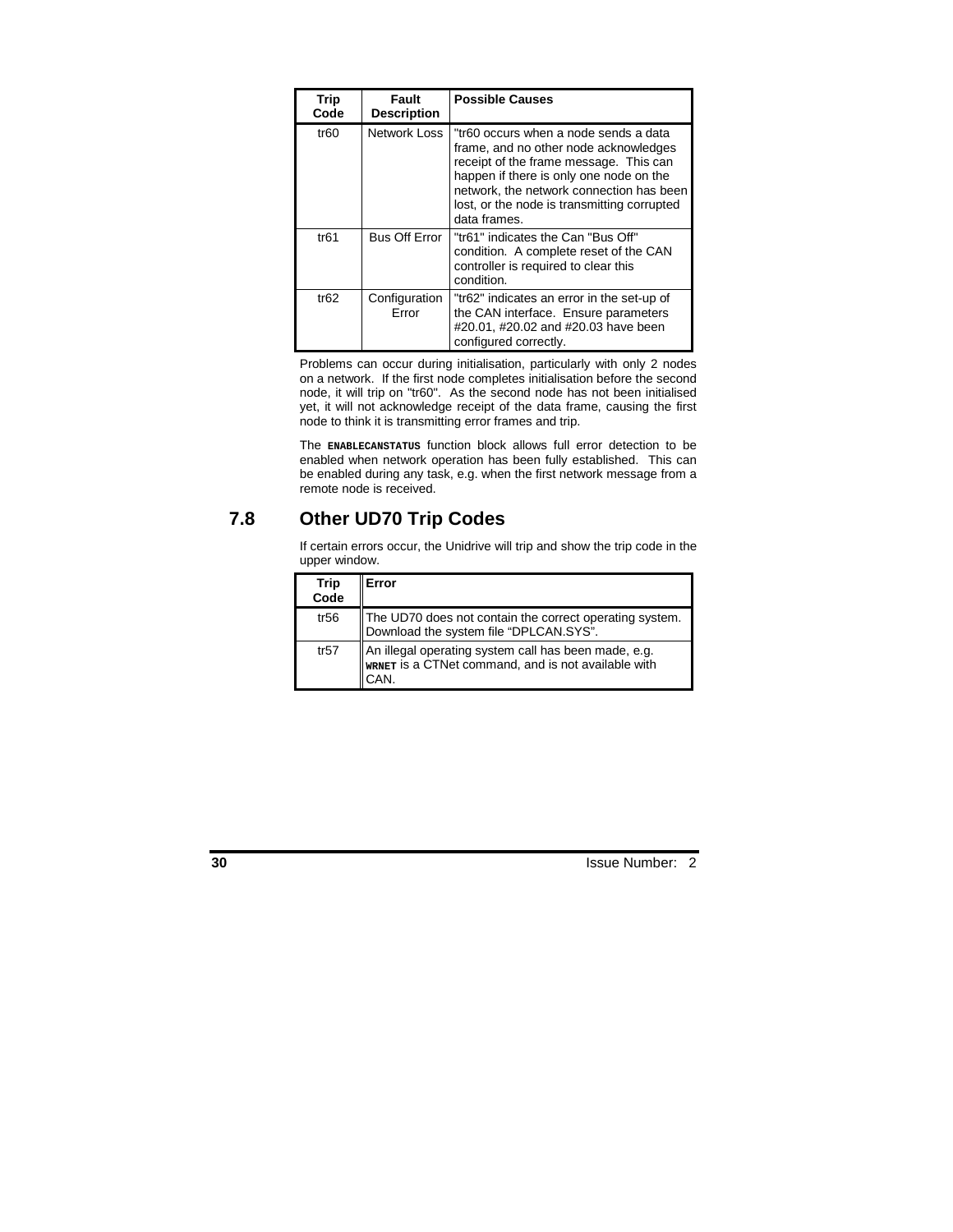| <b>Trip</b><br>Code | Fault<br><b>Description</b> | <b>Possible Causes</b>                                                                                                                                                                                                                                                         |
|---------------------|-----------------------------|--------------------------------------------------------------------------------------------------------------------------------------------------------------------------------------------------------------------------------------------------------------------------------|
| tr60                | Network Loss                | "tr60 occurs when a node sends a data<br>frame, and no other node acknowledges<br>receipt of the frame message. This can<br>happen if there is only one node on the<br>network, the network connection has been<br>lost, or the node is transmitting corrupted<br>data frames. |
| tr61                | <b>Bus Off Error</b>        | "tr61" indicates the Can "Bus Off"<br>condition. A complete reset of the CAN<br>controller is required to clear this<br>condition.                                                                                                                                             |
| tr $62$             | Configuration<br>Error      | "tr62" indicates an error in the set-up of<br>the CAN interface. Ensure parameters<br>#20.01, #20.02 and #20.03 have been<br>configured correctly.                                                                                                                             |

Problems can occur during initialisation, particularly with only 2 nodes on a network. If the first node completes initialisation before the second node, it will trip on "tr60". As the second node has not been initialised yet, it will not acknowledge receipt of the data frame, causing the first node to think it is transmitting error frames and trip.

The **ENABLECANSTATUS** function block allows full error detection to be enabled when network operation has been fully established. This can be enabled during any task, e.g. when the first network message from a remote node is received.

## **7.8 Other UD70 Trip Codes**

If certain errors occur, the Unidrive will trip and show the trip code in the upper window.

| Trip<br>Code     | Error                                                                                                                |
|------------------|----------------------------------------------------------------------------------------------------------------------|
| tr <sub>56</sub> | The UD70 does not contain the correct operating system.<br>Download the system file "DPLCAN.SYS".                    |
| tr57             | An illegal operating system call has been made, e.g.<br>wexter is a CTNet command, and is not available with<br>CAN. |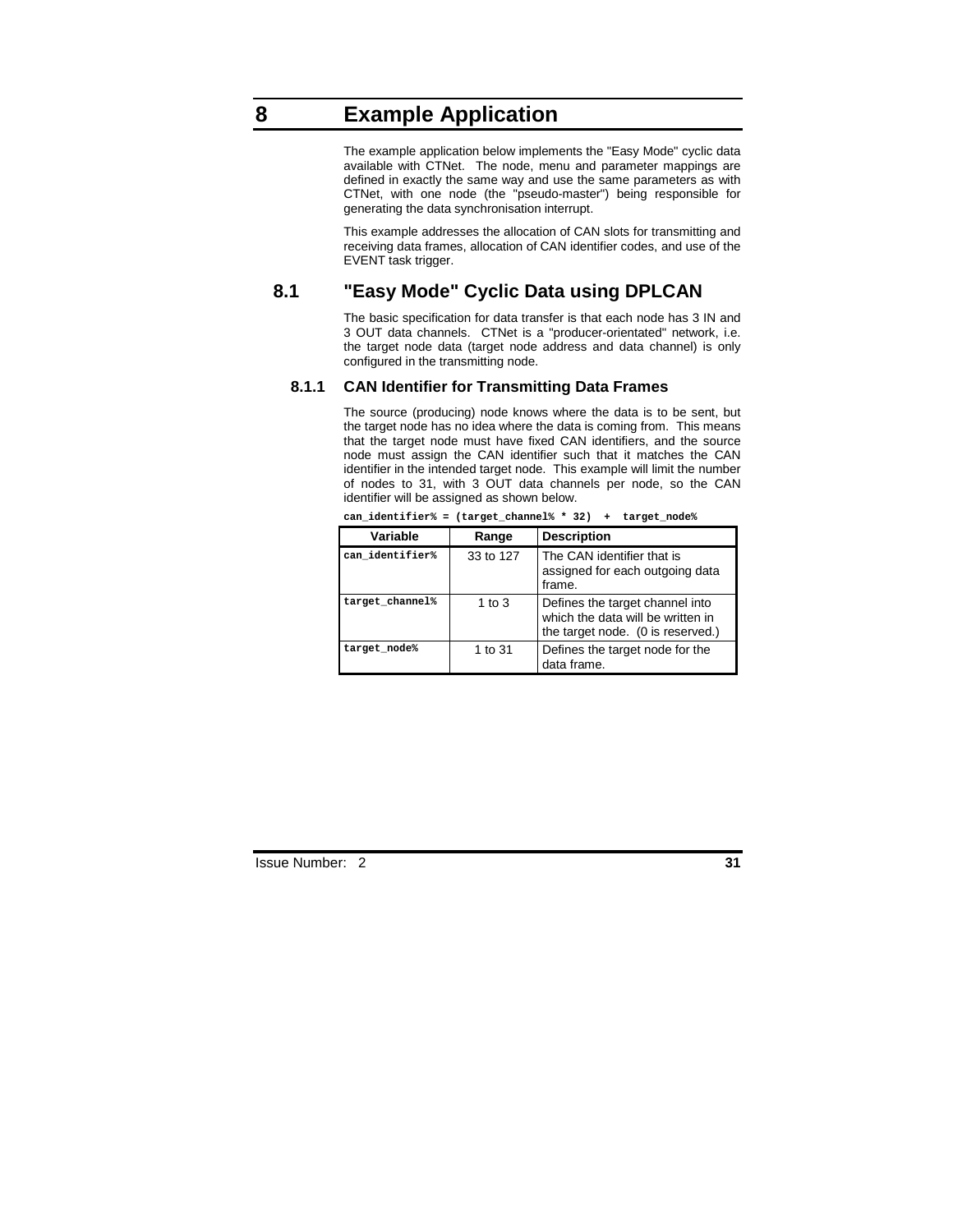# **8 Example Application**

The example application below implements the "Easy Mode" cyclic data available with CTNet. The node, menu and parameter mappings are defined in exactly the same way and use the same parameters as with CTNet, with one node (the "pseudo-master") being responsible for generating the data synchronisation interrupt.

This example addresses the allocation of CAN slots for transmitting and receiving data frames, allocation of CAN identifier codes, and use of the EVENT task trigger.

## **8.1 "Easy Mode" Cyclic Data using DPLCAN**

The basic specification for data transfer is that each node has 3 IN and 3 OUT data channels. CTNet is a "producer-orientated" network, i.e. the target node data (target node address and data channel) is only configured in the transmitting node.

### **8.1.1 CAN Identifier for Transmitting Data Frames**

The source (producing) node knows where the data is to be sent, but the target node has no idea where the data is coming from. This means that the target node must have fixed CAN identifiers, and the source node must assign the CAN identifier such that it matches the CAN identifier in the intended target node. This example will limit the number of nodes to 31, with 3 OUT data channels per node, so the CAN identifier will be assigned as shown below.

| Variable        | Range     | <b>Description</b>                                                                                        |
|-----------------|-----------|-----------------------------------------------------------------------------------------------------------|
| can identifier% | 33 to 127 | The CAN identifier that is<br>assigned for each outgoing data<br>frame.                                   |
| target channel% | 1 to $3$  | Defines the target channel into<br>which the data will be written in<br>the target node. (0 is reserved.) |
| target node%    | 1 to 31   | Defines the target node for the<br>data frame.                                                            |

**can\_identifier% = (target\_channel% \* 32) + target\_node%**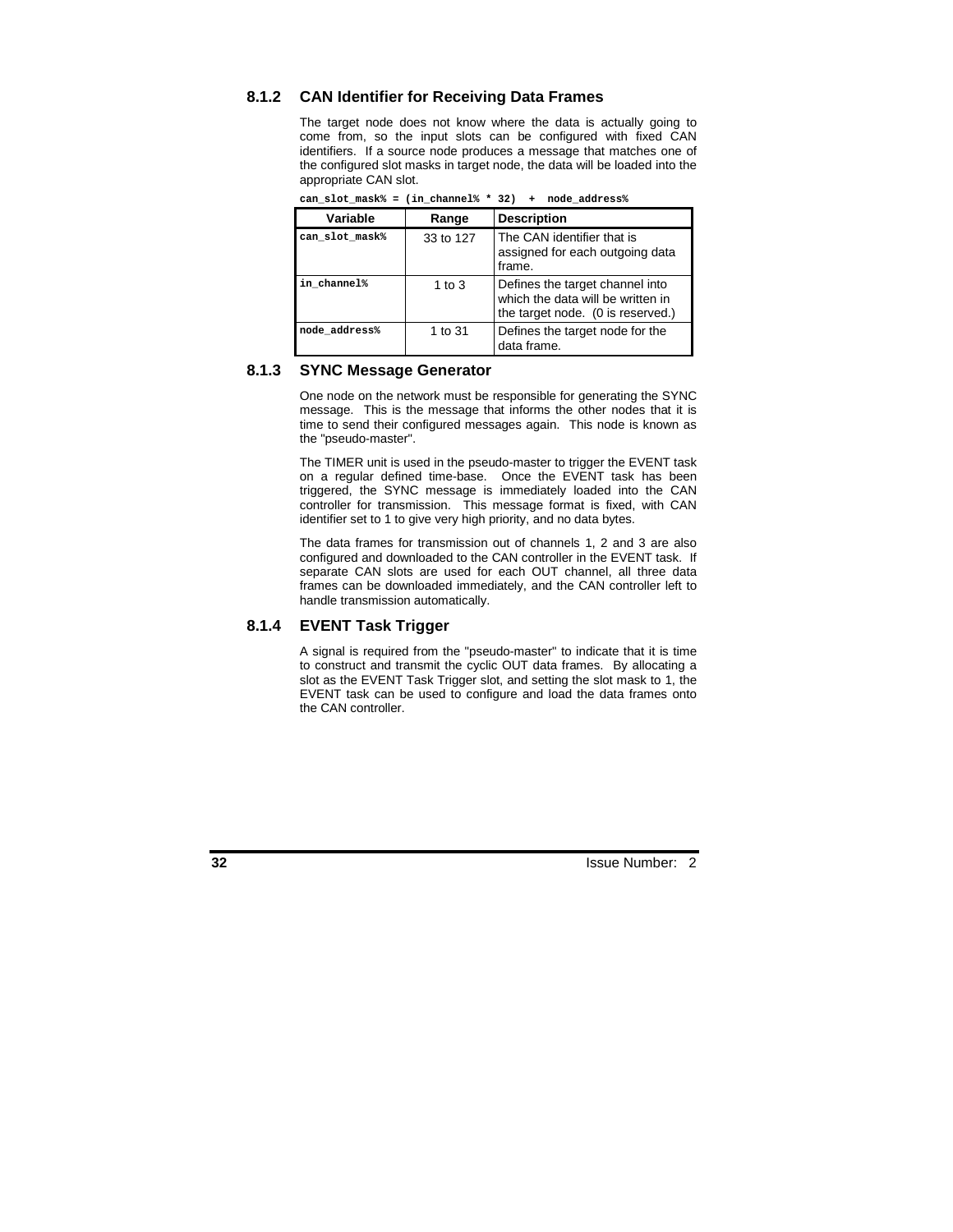### **8.1.2 CAN Identifier for Receiving Data Frames**

The target node does not know where the data is actually going to come from, so the input slots can be configured with fixed CAN identifiers. If a source node produces a message that matches one of the configured slot masks in target node, the data will be loaded into the appropriate CAN slot.

| Variable       | Range     | <b>Description</b>                                                                                        |
|----------------|-----------|-----------------------------------------------------------------------------------------------------------|
| can slot mask% | 33 to 127 | The CAN identifier that is<br>assigned for each outgoing data<br>frame.                                   |
| in channel%    | 1 to $3$  | Defines the target channel into<br>which the data will be written in<br>the target node. (0 is reserved.) |
| node address%  | 1 to 31   | Defines the target node for the<br>data frame.                                                            |

**can\_slot\_mask% = (in\_channel% \* 32) + node\_address%**

### **8.1.3 SYNC Message Generator**

One node on the network must be responsible for generating the SYNC message. This is the message that informs the other nodes that it is time to send their configured messages again. This node is known as the "pseudo-master".

The TIMER unit is used in the pseudo-master to trigger the EVENT task on a regular defined time-base. Once the EVENT task has been triggered, the SYNC message is immediately loaded into the CAN controller for transmission. This message format is fixed, with CAN identifier set to 1 to give very high priority, and no data bytes.

The data frames for transmission out of channels 1, 2 and 3 are also configured and downloaded to the CAN controller in the EVENT task. If separate CAN slots are used for each OUT channel, all three data frames can be downloaded immediately, and the CAN controller left to handle transmission automatically.

## **8.1.4 EVENT Task Trigger**

A signal is required from the "pseudo-master" to indicate that it is time to construct and transmit the cyclic OUT data frames. By allocating a slot as the EVENT Task Trigger slot, and setting the slot mask to 1, the EVENT task can be used to configure and load the data frames onto the CAN controller.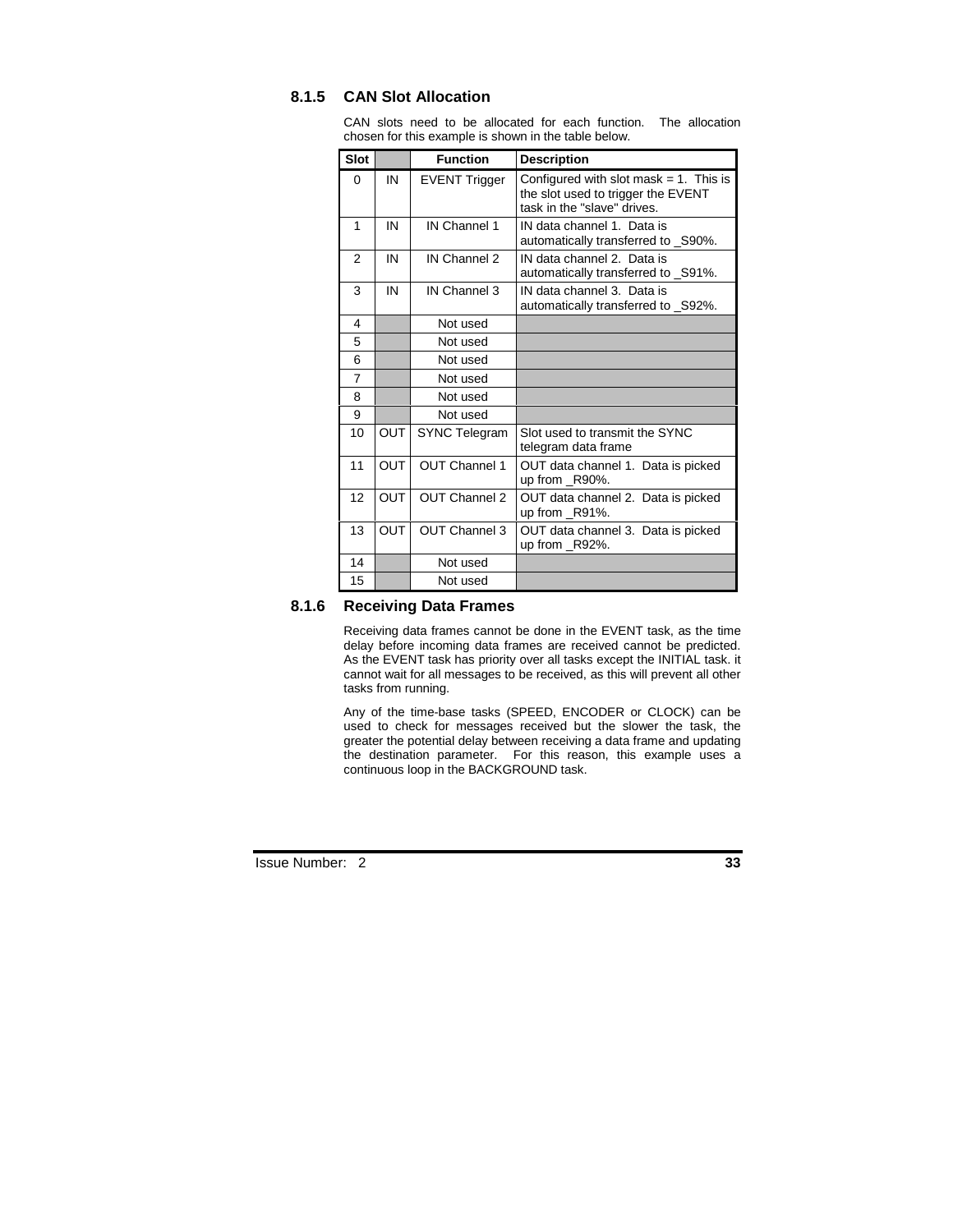## **8.1.5 CAN Slot Allocation**

CAN slots need to be allocated for each function. The allocation chosen for this example is shown in the table below.

| <b>Slot</b>    |            | <b>Function</b>      | <b>Description</b>                                                                                             |
|----------------|------------|----------------------|----------------------------------------------------------------------------------------------------------------|
| 0              | IN         | <b>EVENT Trigger</b> | Configured with slot mask $= 1$ . This is<br>the slot used to trigger the EVENT<br>task in the "slave" drives. |
| 1              | IN         | IN Channel 1         | IN data channel 1. Data is<br>automatically transferred to _S90%.                                              |
| 2              | IN         | IN Channel 2         | IN data channel 2. Data is<br>automatically transferred to _S91%.                                              |
| 3              | IN         | IN Channel 3         | IN data channel 3. Data is<br>automatically transferred to _S92%.                                              |
| 4              |            | Not used             |                                                                                                                |
| 5              |            | Not used             |                                                                                                                |
| 6              |            | Not used             |                                                                                                                |
| $\overline{7}$ |            | Not used             |                                                                                                                |
| 8              |            | Not used             |                                                                                                                |
| 9              |            | Not used             |                                                                                                                |
| 10             | <b>OUT</b> | SYNC Telegram        | Slot used to transmit the SYNC<br>telegram data frame                                                          |
| 11             | <b>OUT</b> | OUT Channel 1        | OUT data channel 1. Data is picked<br>up from R90%.                                                            |
| 12             | <b>OUT</b> | OUT Channel 2        | OUT data channel 2. Data is picked<br>up from R91%.                                                            |
| 13             | <b>OUT</b> | <b>OUT Channel 3</b> | OUT data channel 3. Data is picked<br>up from _R92%.                                                           |
| 14             |            | Not used             |                                                                                                                |
| 15             |            | Not used             |                                                                                                                |

## **8.1.6 Receiving Data Frames**

Receiving data frames cannot be done in the EVENT task, as the time delay before incoming data frames are received cannot be predicted. As the EVENT task has priority over all tasks except the INITIAL task. it cannot wait for all messages to be received, as this will prevent all other tasks from running.

Any of the time-base tasks (SPEED, ENCODER or CLOCK) can be used to check for messages received but the slower the task, the greater the potential delay between receiving a data frame and updating the destination parameter. For this reason, this example uses a continuous loop in the BACKGROUND task.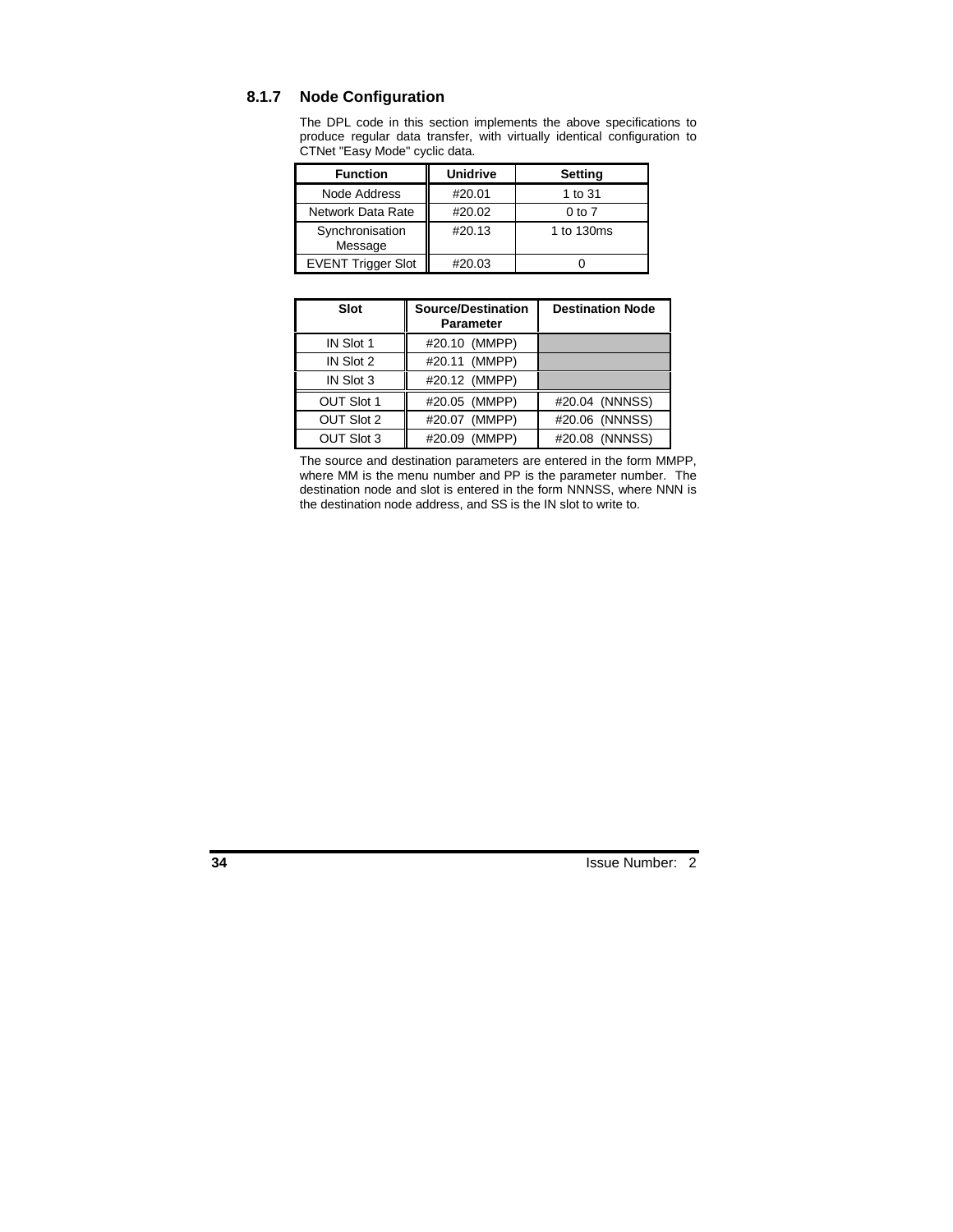## **8.1.7 Node Configuration**

The DPL code in this section implements the above specifications to produce regular data transfer, with virtually identical configuration to CTNet "Easy Mode" cyclic data.

| <b>Function</b>            | <b>Unidrive</b> | Setting    |
|----------------------------|-----------------|------------|
| Node Address               | #20.01          | 1 to 31    |
| Network Data Rate          | #20.02          | $0$ to $7$ |
| Synchronisation<br>Message | #20.13          | 1 to 130ms |
| <b>EVENT Trigger Slot</b>  | #20.03          |            |

| <b>Slot</b> | <b>Source/Destination</b><br><b>Parameter</b> | <b>Destination Node</b> |
|-------------|-----------------------------------------------|-------------------------|
| IN Slot 1   | #20.10 (MMPP)                                 |                         |
| IN Slot 2   | #20.11 (MMPP)                                 |                         |
| IN Slot 3   | #20.12 (MMPP)                                 |                         |
| OUT Slot 1  | #20.05 (MMPP)                                 | #20.04 (NNNSS)          |
| OUT Slot 2  | #20.07 (MMPP)                                 | #20.06 (NNNSS)          |
| OUT Slot 3  | #20.09<br>(MMPP)                              | #20.08 (NNNSS)          |

The source and destination parameters are entered in the form MMPP, where MM is the menu number and PP is the parameter number. The destination node and slot is entered in the form NNNSS, where NNN is the destination node address, and SS is the IN slot to write to.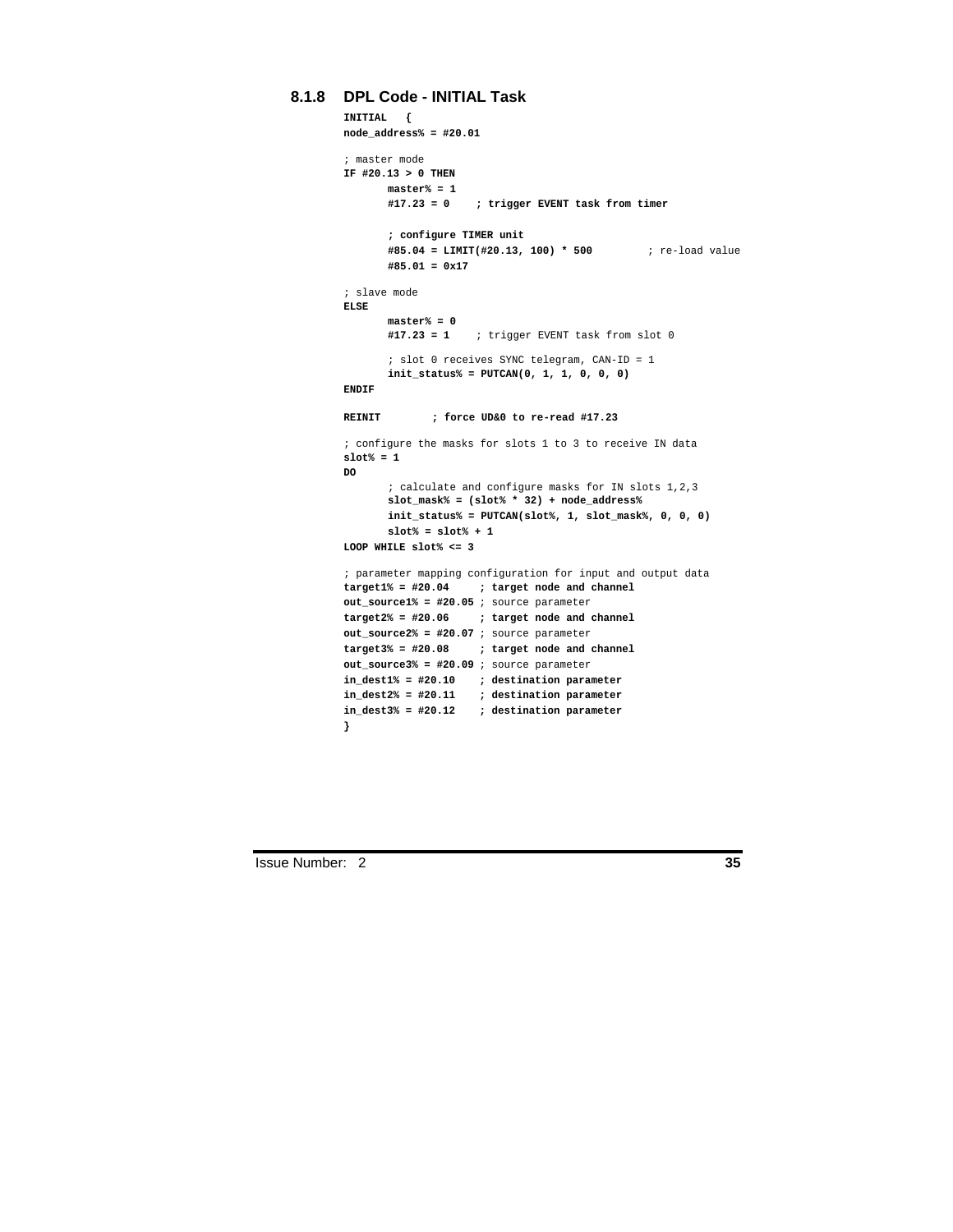```
8.1.8 DPL Code - INITIAL Task
       INITIAL {
       node_address% = #20.01
        ; master mode
        IF #20.13 > 0 THEN
              master% = 1
              #17.23 = 0 ; trigger EVENT task from timer
              ; configure TIMER unit
              #85.04 = LIMIT(#20.13, 100) * 500 ; re-load value
              #85.01 = 0x17
        ; slave mode
        ELSE
              master% = 0
               #17.23 = 1 ; trigger EVENT task from slot 0
               ; slot 0 receives SYNC telegram, CAN-ID = 1
              init_status% = PUTCAN(0, 1, 1, 0, 0, 0)
        ENDIF
        REINIT ; force UD&0 to re-read #17.23
        ; configure the masks for slots 1 to 3 to receive IN data
        slot% = 1
        DO
               ; calculate and configure masks for IN slots 1,2,3
               slot_mask% = (slot% * 32) + node_address%
              init_status% = PUTCAN(slot%, 1, slot_mask%, 0, 0, 0)
              slot% = slot% + 1
        LOOP WHILE slot% <= 3
        ; parameter mapping configuration for input and output data
        target1% = #20.04 ; target node and channel
        out_source1% = #20.05 ; source parameter
        target2% = #20.06 ; target node and channel
        out_source2% = #20.07 ; source parameter
        target3% = #20.08 ; target node and channel
        out_source3% = #20.09 ; source parameter
        in_dest1% = #20.10 ; destination parameter
        in_dest2% = #20.11 ; destination parameter
        in_dest3% = #20.12 ; destination parameter
        }
```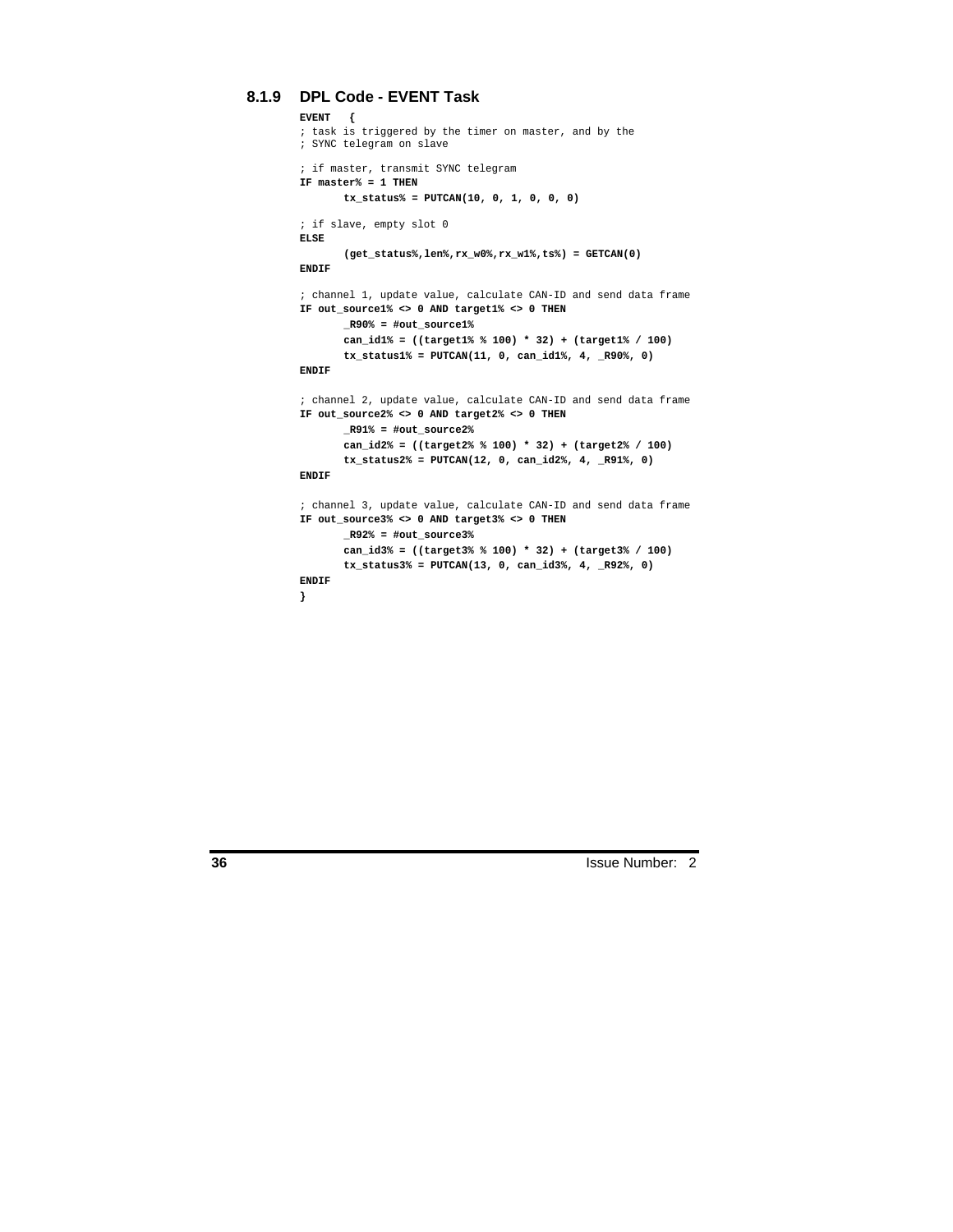```
8.1.9 DPL Code - EVENT Task
        EVENT {
        ; task is triggered by the timer on master, and by the
        ; SYNC telegram on slave
        ; if master, transmit SYNC telegram
        IF master% = 1 THEN
               tx_status% = PUTCAN(10, 0, 1, 0, 0, 0)
        ; if slave, empty slot 0
        ELSE
               (get_status%,len%,rx_w0%,rx_w1%,ts%) = GETCAN(0)
        ENDIF
        ; channel 1, update value, calculate CAN-ID and send data frame
        IF out_source1% <> 0 AND target1% <> 0 THEN
               _R90% = #out_source1%
               can_id1% = ((target1% % 100) * 32) + (target1% / 100)
               tx_status1% = PUTCAN(11, 0, can_id1%, 4, _R90%, 0)
        ENDIF
        ; channel 2, update value, calculate CAN-ID and send data frame
        IF out_source2% <> 0 AND target2% <> 0 THEN
               _R91% = #out_source2%
               can_id2% = ((target2% % 100) * 32) + (target2% / 100)
               tx_status2% = PUTCAN(12, 0, can_id2%, 4, _R91%, 0)
        ENDIF
        ; channel 3, update value, calculate CAN-ID and send data frame
        IF out_source3% <> 0 AND target3% <> 0 THEN
               _R92% = #out_source3%
               can_id3% = ((target3% % 100) * 32) + (target3% / 100)
               tx_status3% = PUTCAN(13, 0, can_id3%, 4, _R92%, 0)
        ENDIF
        }
```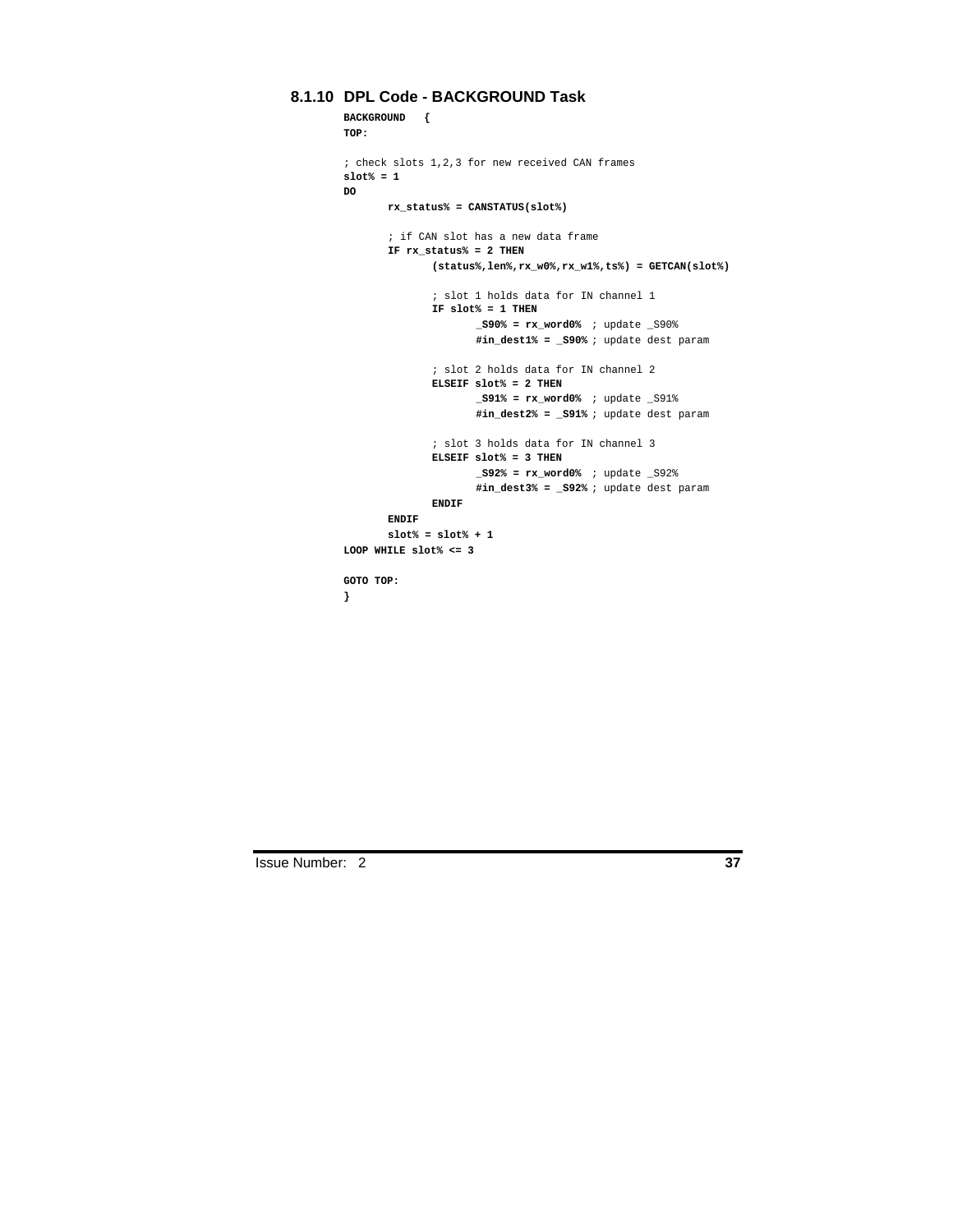## **8.1.10 DPL Code - BACKGROUND Task**

```
BACKGROUND {
TOP:
; check slots 1,2,3 for new received CAN frames
slot% = 1
DO
      rx_status% = CANSTATUS(slot%)
       ; if CAN slot has a new data frame
      IF rx_status% = 2 THEN
              (status%,len%,rx_w0%,rx_w1%,ts%) = GETCAN(slot%)
              ; slot 1 holds data for IN channel 1
             IF slot% = 1 THEN
                     _S90% = rx_word0% ; update _S90%
                     #in_dest1% = _S90% ; update dest param
              ; slot 2 holds data for IN channel 2
              ELSEIF slot% = 2 THEN
                    _S91% = rx_word0% ; update _S91%
                     #in_dest2% = _S91% ; update dest param
              ; slot 3 holds data for IN channel 3
             ELSEIF slot% = 3 THEN
                    _S92% = rx_word0% ; update _S92%
                    #in_dest3% = _S92% ; update dest param
             ENDIF
       ENDIF
       slot% = slot% + 1
LOOP WHILE slot% <= 3
GOTO TOP:
}
```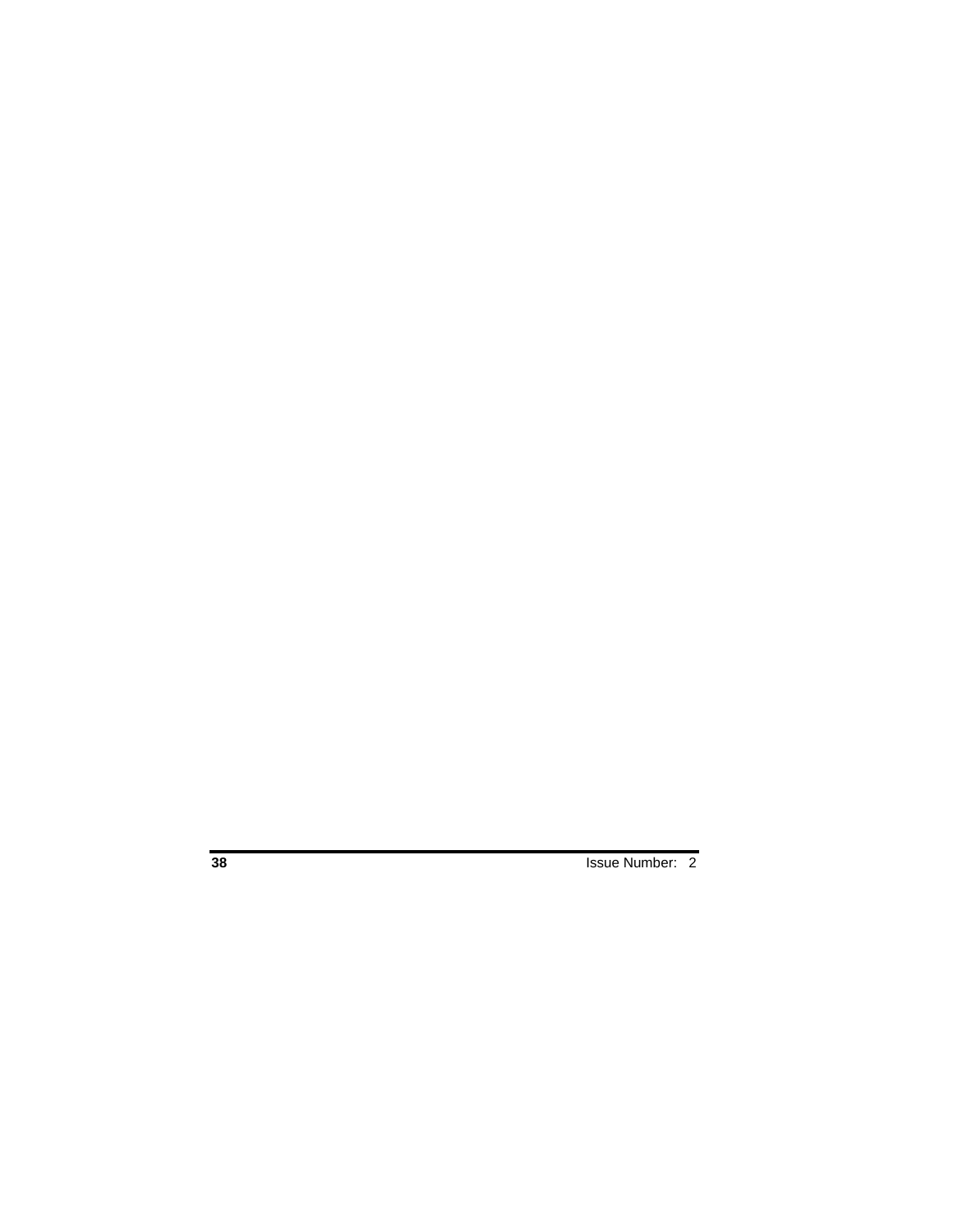Issue Number: 2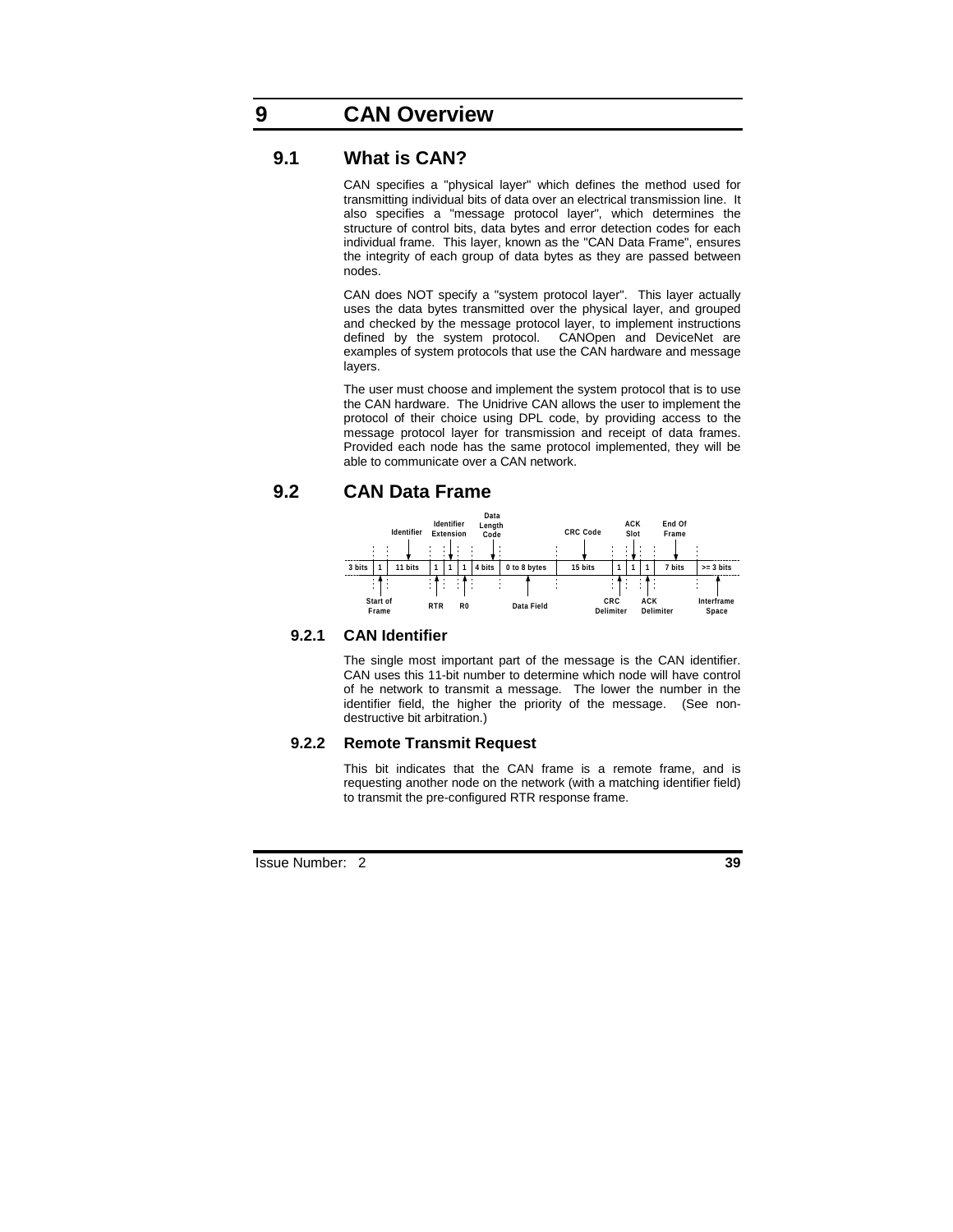# **9 CAN Overview**

## **9.1 What is CAN?**

CAN specifies a "physical layer" which defines the method used for transmitting individual bits of data over an electrical transmission line. It also specifies a "message protocol layer", which determines the structure of control bits, data bytes and error detection codes for each individual frame. This layer, known as the "CAN Data Frame", ensures the integrity of each group of data bytes as they are passed between nodes.

CAN does NOT specify a "system protocol layer". This layer actually uses the data bytes transmitted over the physical layer, and grouped and checked by the message protocol layer, to implement instructions defined by the system protocol. CANOpen and DeviceNet are examples of system protocols that use the CAN hardware and message layers.

The user must choose and implement the system protocol that is to use the CAN hardware. The Unidrive CAN allows the user to implement the protocol of their choice using DPL code, by providing access to the message protocol layer for transmission and receipt of data frames. Provided each node has the same protocol implemented, they will be able to communicate over a CAN network.

## **9.2 CAN Data Frame**



### **9.2.1 CAN Identifier**

The single most important part of the message is the CAN identifier. CAN uses this 11-bit number to determine which node will have control of he network to transmit a message. The lower the number in the identifier field, the higher the priority of the message. (See nondestructive bit arbitration.)

### **9.2.2 Remote Transmit Request**

This bit indicates that the CAN frame is a remote frame, and is requesting another node on the network (with a matching identifier field) to transmit the pre-configured RTR response frame.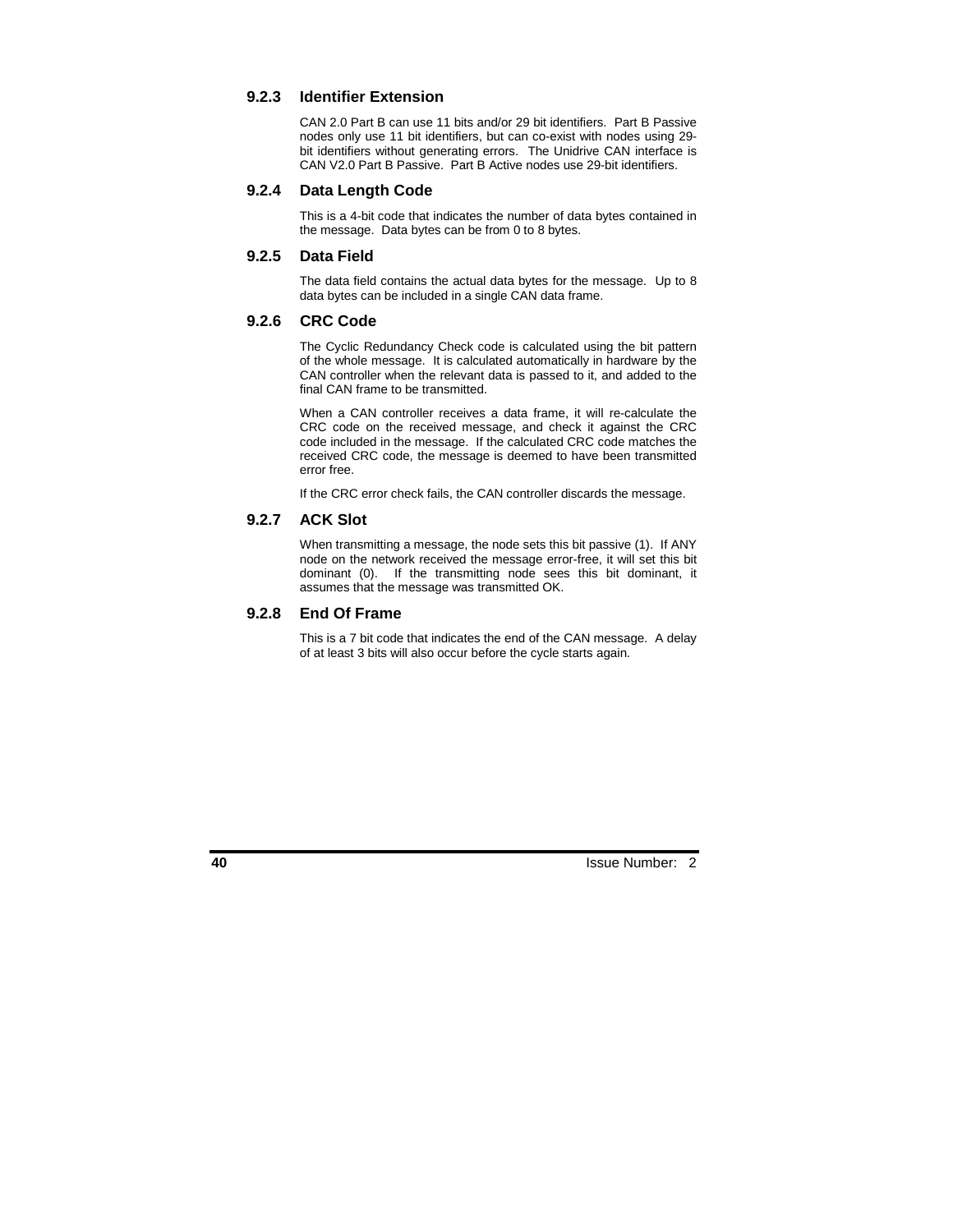### **9.2.3 Identifier Extension**

CAN 2.0 Part B can use 11 bits and/or 29 bit identifiers. Part B Passive nodes only use 11 bit identifiers, but can co-exist with nodes using 29 bit identifiers without generating errors. The Unidrive CAN interface is CAN V2.0 Part B Passive. Part B Active nodes use 29-bit identifiers.

### **9.2.4 Data Length Code**

This is a 4-bit code that indicates the number of data bytes contained in the message. Data bytes can be from 0 to 8 bytes.

### **9.2.5 Data Field**

The data field contains the actual data bytes for the message. Up to 8 data bytes can be included in a single CAN data frame.

### **9.2.6 CRC Code**

The Cyclic Redundancy Check code is calculated using the bit pattern of the whole message. It is calculated automatically in hardware by the CAN controller when the relevant data is passed to it, and added to the final CAN frame to be transmitted.

When a CAN controller receives a data frame, it will re-calculate the CRC code on the received message, and check it against the CRC code included in the message. If the calculated CRC code matches the received CRC code, the message is deemed to have been transmitted error free.

If the CRC error check fails, the CAN controller discards the message.

### **9.2.7 ACK Slot**

When transmitting a message, the node sets this bit passive (1). If ANY node on the network received the message error-free, it will set this bit dominant (0). If the transmitting node sees this bit dominant, it assumes that the message was transmitted OK.

### **9.2.8 End Of Frame**

This is a 7 bit code that indicates the end of the CAN message. A delay of at least 3 bits will also occur before the cycle starts again.